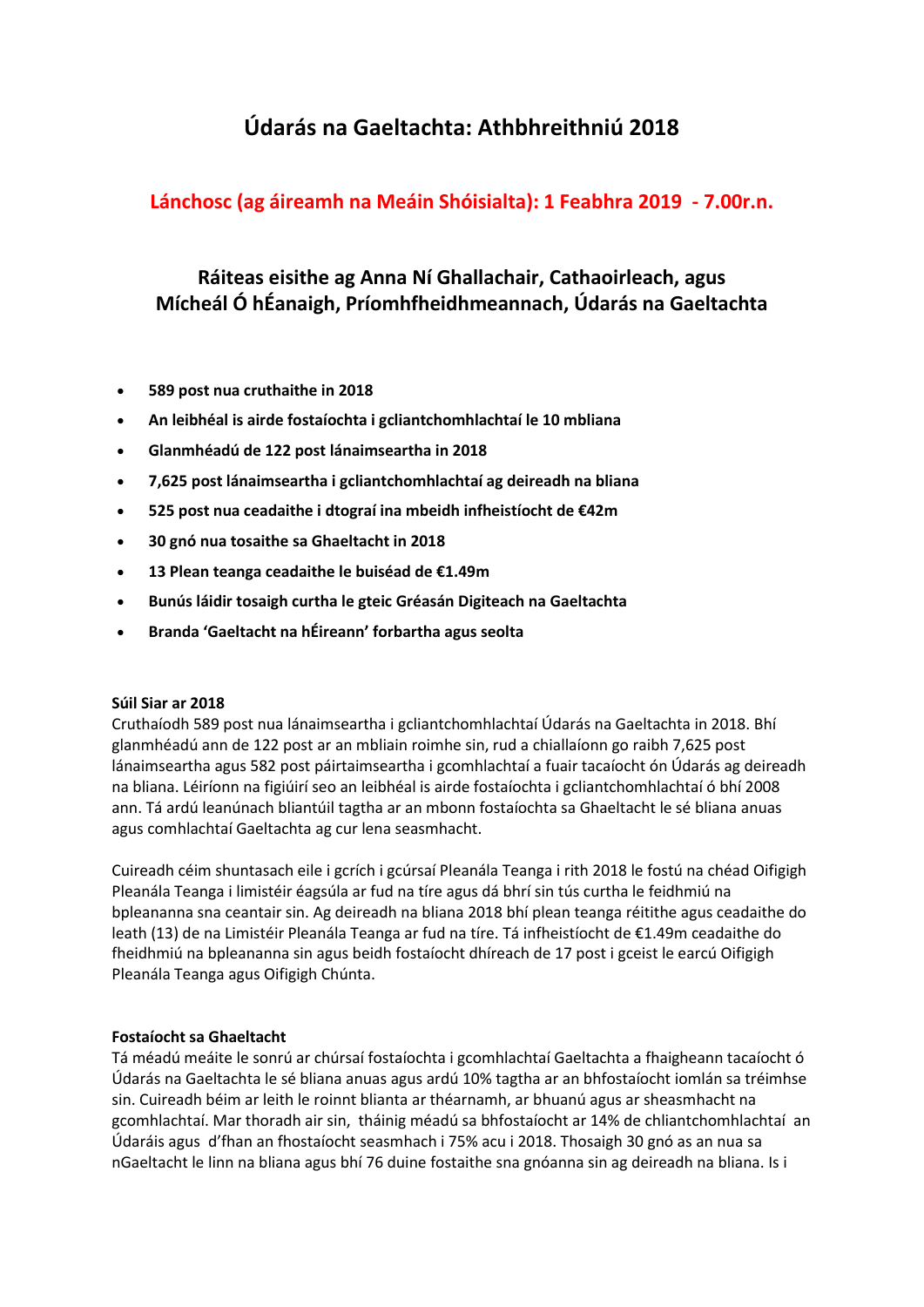# **Údarás na Gaeltachta: Athbhreithniú 2018**

# **Lánchosc (ag áireamh na Meáin Shóisialta): 1 Feabhra 2019 - 7.00r.n.**

# **Ráiteas eisithe ag Anna Ní Ghallachair, Cathaoirleach, agus Mícheál Ó hÉanaigh, Príomhfheidhmeannach, Údarás na Gaeltachta**

- **589 post nua cruthaithe in 2018**
- **An leibhéal is airde fostaíochta i gcliantchomhlachtaí le 10 mbliana**
- **Glanmhéadú de 122 post lánaimseartha in 2018**
- **7,625 post lánaimseartha i gcliantchomhlachtaí ag deireadh na bliana**
- **525 post nua ceadaithe i dtograí ina mbeidh infheistíocht de €42m**
- **30 gnó nua tosaithe sa Ghaeltacht in 2018**
- **13 Plean teanga ceadaithe le buiséad de €1.49m**
- **Bunús láidir tosaigh curtha le gteic Gréasán Digiteach na Gaeltachta**
- **Branda 'Gaeltacht na hÉireann' forbartha agus seolta**

### **Súil Siar ar 2018**

Cruthaíodh 589 post nua lánaimseartha i gcliantchomhlachtaí Údarás na Gaeltachta in 2018. Bhí glanmhéadú ann de 122 post ar an mbliain roimhe sin, rud a chiallaíonn go raibh 7,625 post lánaimseartha agus 582 post páirtaimseartha i gcomhlachtaí a fuair tacaíocht ón Údarás ag deireadh na bliana. Léiríonn na figiúirí seo an leibhéal is airde fostaíochta i gcliantchomhlachtaí ó bhí 2008 ann. Tá ardú leanúnach bliantúil tagtha ar an mbonn fostaíochta sa Ghaeltacht le sé bliana anuas agus comhlachtaí Gaeltachta ag cur lena seasmhacht.

Cuireadh céim shuntasach eile i gcrích i gcúrsaí Pleanála Teanga i rith 2018 le fostú na chéad Oifigigh Pleanála Teanga i limistéir éagsúla ar fud na tíre agus dá bhrí sin tús curtha le feidhmiú na bpleananna sna ceantair sin. Ag deireadh na bliana 2018 bhí plean teanga réitithe agus ceadaithe do leath (13) de na Limistéir Pleanála Teanga ar fud na tíre. Tá infheistíocht de €1.49m ceadaithe do fheidhmiú na bpleananna sin agus beidh fostaíocht dhíreach de 17 post i gceist le earcú Oifigigh Pleanála Teanga agus Oifigigh Chúnta.

# **Fostaíocht sa Ghaeltacht**

Tá méadú meáite le sonrú ar chúrsaí fostaíochta i gcomhlachtaí Gaeltachta a fhaigheann tacaíocht ó Údarás na Gaeltachta le sé bliana anuas agus ardú 10% tagtha ar an bhfostaíocht iomlán sa tréimhse sin. Cuireadh béim ar leith le roinnt blianta ar théarnamh, ar bhuanú agus ar sheasmhacht na gcomhlachtaí. Mar thoradh air sin, tháinig méadú sa bhfostaíocht ar 14% de chliantchomhlachtaí an Údaráis agus d'fhan an fhostaíocht seasmhach i 75% acu i 2018. Thosaigh 30 gnó as an nua sa nGaeltacht le linn na bliana agus bhí 76 duine fostaithe sna gnóanna sin ag deireadh na bliana. Is i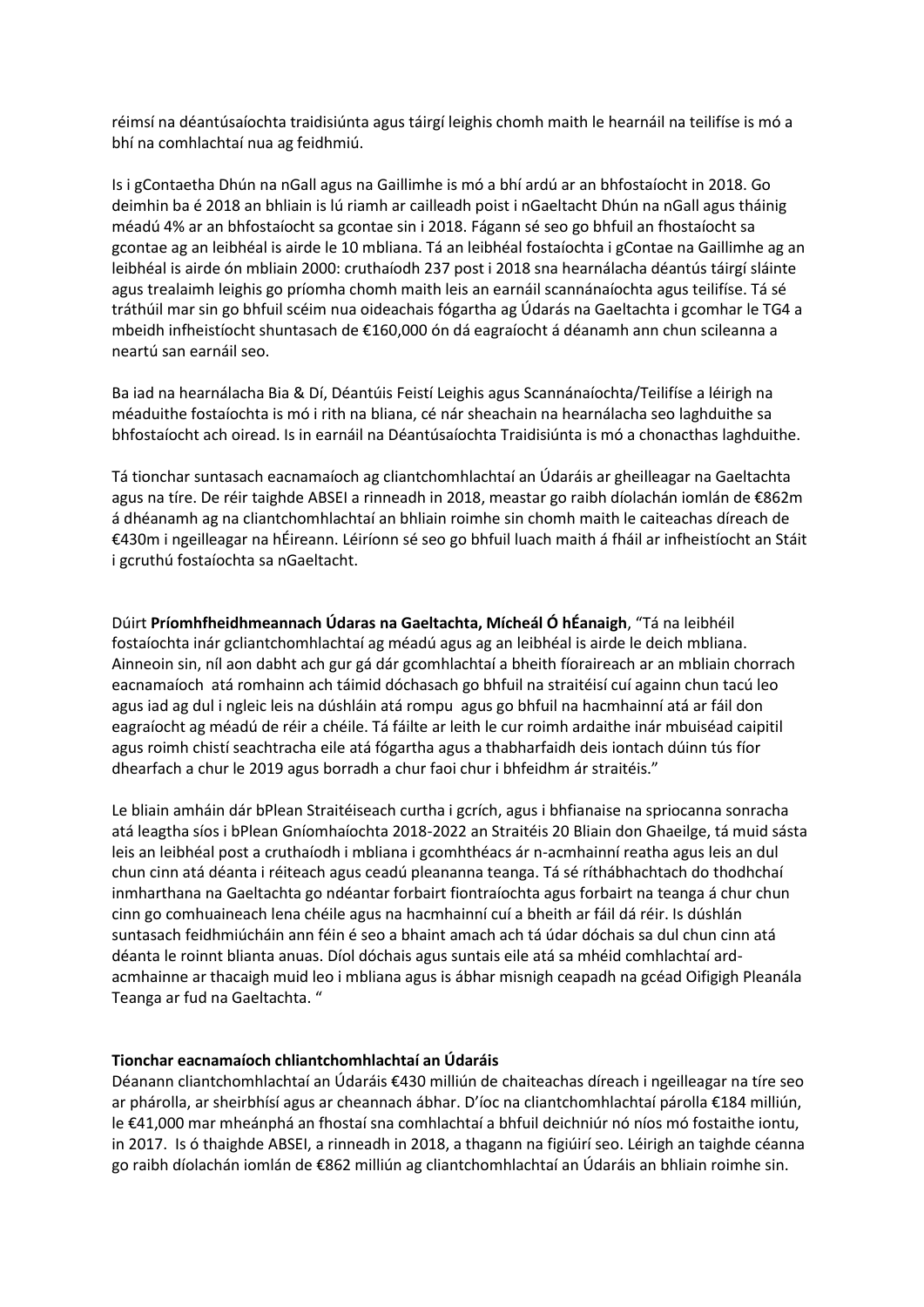réimsí na déantúsaíochta traidisiúnta agus táirgí leighis chomh maith le hearnáil na teilifíse is mó a bhí na comhlachtaí nua ag feidhmiú.

Is i gContaetha Dhún na nGall agus na Gaillimhe is mó a bhí ardú ar an bhfostaíocht in 2018. Go deimhin ba é 2018 an bhliain is lú riamh ar cailleadh poist i nGaeltacht Dhún na nGall agus tháinig méadú 4% ar an bhfostaíocht sa gcontae sin i 2018. Fágann sé seo go bhfuil an fhostaíocht sa gcontae ag an leibhéal is airde le 10 mbliana. Tá an leibhéal fostaíochta i gContae na Gaillimhe ag an leibhéal is airde ón mbliain 2000: cruthaíodh 237 post i 2018 sna hearnálacha déantús táirgí sláinte agus trealaimh leighis go príomha chomh maith leis an earnáil scannánaíochta agus teilifíse. Tá sé tráthúil mar sin go bhfuil scéim nua oideachais fógartha ag Údarás na Gaeltachta i gcomhar le TG4 a mbeidh infheistíocht shuntasach de €160,000 ón dá eagraíocht á déanamh ann chun scileanna a neartú san earnáil seo.

Ba iad na hearnálacha Bia & Dí, Déantúis Feistí Leighis agus Scannánaíochta/Teilifíse a léirigh na méaduithe fostaíochta is mó i rith na bliana, cé nár sheachain na hearnálacha seo laghduithe sa bhfostaíocht ach oiread. Is in earnáil na Déantúsaíochta Traidisiúnta is mó a chonacthas laghduithe.

Tá tionchar suntasach eacnamaíoch ag cliantchomhlachtaí an Údaráis ar gheilleagar na Gaeltachta agus na tíre. De réir taighde ABSEI a rinneadh in 2018, meastar go raibh díolachán iomlán de €862m á dhéanamh ag na cliantchomhlachtaí an bhliain roimhe sin chomh maith le caiteachas díreach de €430m i ngeilleagar na hÉireann. Léiríonn sé seo go bhfuil luach maith á fháil ar infheistíocht an Stáit i gcruthú fostaíochta sa nGaeltacht.

Dúirt **Príomhfheidhmeannach Údaras na Gaeltachta, Mícheál Ó hÉanaigh**, "Tá na leibhéil fostaíochta inár gcliantchomhlachtaí ag méadú agus ag an leibhéal is airde le deich mbliana. Ainneoin sin, níl aon dabht ach gur gá dár gcomhlachtaí a bheith fíoraireach ar an mbliain chorrach eacnamaíoch atá romhainn ach táimid dóchasach go bhfuil na straitéisí cuí againn chun tacú leo agus iad ag dul i ngleic leis na dúshláin atá rompu agus go bhfuil na hacmhainní atá ar fáil don eagraíocht ag méadú de réir a chéile. Tá fáilte ar leith le cur roimh ardaithe inár mbuiséad caipitil agus roimh chistí seachtracha eile atá fógartha agus a thabharfaidh deis iontach dúinn tús fíor dhearfach a chur le 2019 agus borradh a chur faoi chur i bhfeidhm ár straitéis."

Le bliain amháin dár bPlean Straitéiseach curtha i gcrích, agus i bhfianaise na spriocanna sonracha atá leagtha síos i bPlean Gníomhaíochta 2018-2022 an Straitéis 20 Bliain don Ghaeilge, tá muid sásta leis an leibhéal post a cruthaíodh i mbliana i gcomhthéacs ár n-acmhainní reatha agus leis an dul chun cinn atá déanta i réiteach agus ceadú pleananna teanga. Tá sé ríthábhachtach do thodhchaí inmharthana na Gaeltachta go ndéantar forbairt fiontraíochta agus forbairt na teanga á chur chun cinn go comhuaineach lena chéile agus na hacmhainní cuí a bheith ar fáil dá réir. Is dúshlán suntasach feidhmiúcháin ann féin é seo a bhaint amach ach tá údar dóchais sa dul chun cinn atá déanta le roinnt blianta anuas. Díol dóchais agus suntais eile atá sa mhéid comhlachtaí ardacmhainne ar thacaigh muid leo i mbliana agus is ábhar misnigh ceapadh na gcéad Oifigigh Pleanála Teanga ar fud na Gaeltachta. "

### **Tionchar eacnamaíoch chliantchomhlachtaí an Údaráis**

Déanann cliantchomhlachtaí an Údaráis €430 milliún de chaiteachas díreach i ngeilleagar na tíre seo ar phárolla, ar sheirbhísí agus ar cheannach ábhar. D'íoc na cliantchomhlachtaí párolla €184 milliún, le €41,000 mar mheánphá an fhostaí sna comhlachtaí a bhfuil deichniúr nó níos mó fostaithe iontu, in 2017. Is ó thaighde ABSEI, a rinneadh in 2018, a thagann na figiúirí seo. Léirigh an taighde céanna go raibh díolachán iomlán de €862 milliún ag cliantchomhlachtaí an Údaráis an bhliain roimhe sin.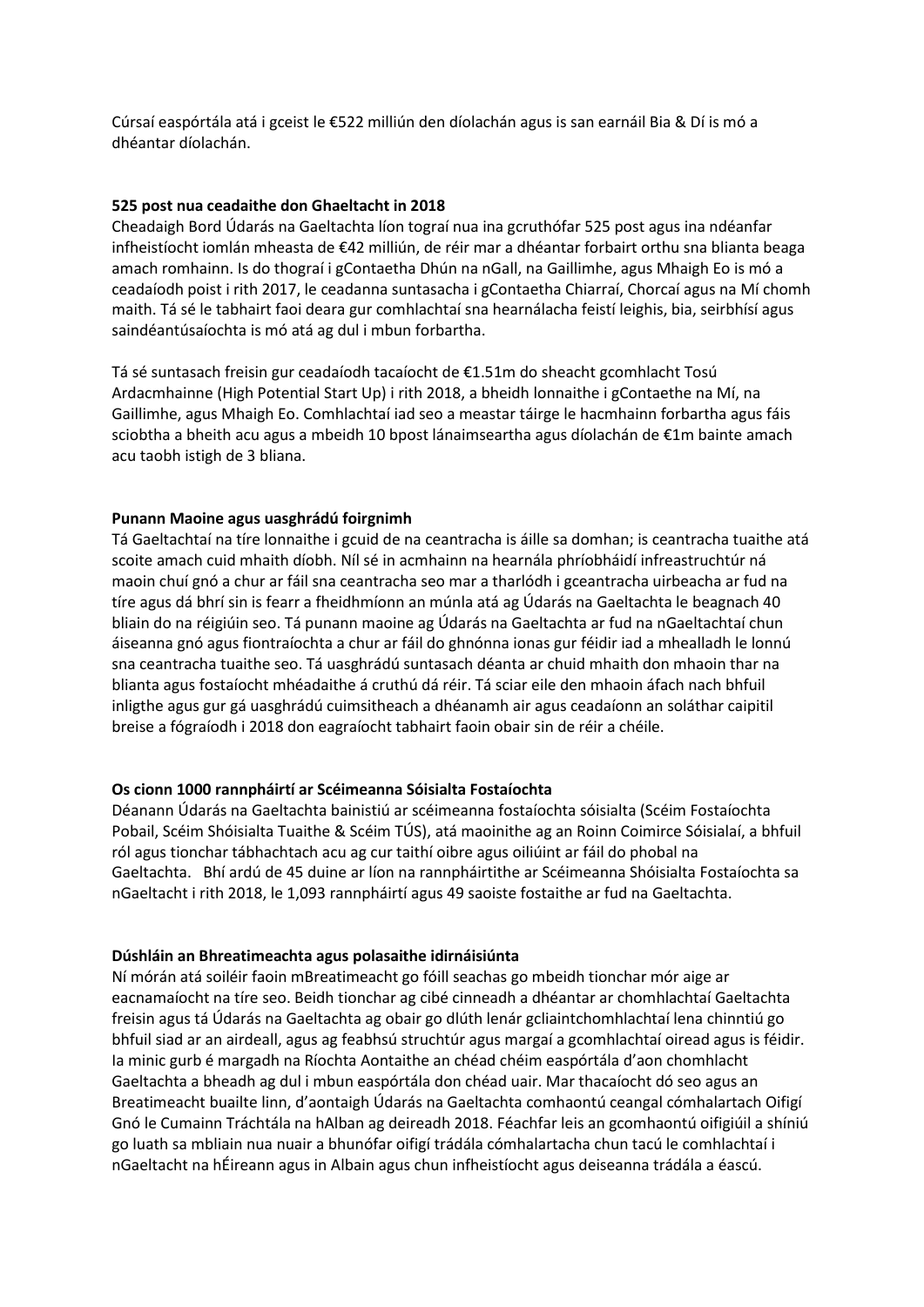Cúrsaí easpórtála atá i gceist le €522 milliún den díolachán agus is san earnáil Bia & Dí is mó a dhéantar díolachán.

#### **525 post nua ceadaithe don Ghaeltacht in 2018**

Cheadaigh Bord Údarás na Gaeltachta líon tograí nua ina gcruthófar 525 post agus ina ndéanfar infheistíocht iomlán mheasta de €42 milliún, de réir mar a dhéantar forbairt orthu sna blianta beaga amach romhainn. Is do thograí i gContaetha Dhún na nGall, na Gaillimhe, agus Mhaigh Eo is mó a ceadaíodh poist i rith 2017, le ceadanna suntasacha i gContaetha Chiarraí, Chorcaí agus na Mí chomh maith. Tá sé le tabhairt faoi deara gur comhlachtaí sna hearnálacha feistí leighis, bia, seirbhísí agus saindéantúsaíochta is mó atá ag dul i mbun forbartha.

Tá sé suntasach freisin gur ceadaíodh tacaíocht de €1.51m do sheacht gcomhlacht Tosú Ardacmhainne (High Potential Start Up) i rith 2018, a bheidh lonnaithe i gContaethe na Mí, na Gaillimhe, agus Mhaigh Eo. Comhlachtaí iad seo a meastar táirge le hacmhainn forbartha agus fáis sciobtha a bheith acu agus a mbeidh 10 bpost lánaimseartha agus díolachán de €1m bainte amach acu taobh istigh de 3 bliana.

#### **Punann Maoine agus uasghrádú foirgnimh**

Tá Gaeltachtaí na tíre lonnaithe i gcuid de na ceantracha is áille sa domhan; is ceantracha tuaithe atá scoite amach cuid mhaith díobh. Níl sé in acmhainn na hearnála phríobháidí infreastruchtúr ná maoin chuí gnó a chur ar fáil sna ceantracha seo mar a tharlódh i gceantracha uirbeacha ar fud na tíre agus dá bhrí sin is fearr a fheidhmíonn an múnla atá ag Údarás na Gaeltachta le beagnach 40 bliain do na réigiúin seo. Tá punann maoine ag Údarás na Gaeltachta ar fud na nGaeltachtaí chun áiseanna gnó agus fiontraíochta a chur ar fáil do ghnónna ionas gur féidir iad a mhealladh le lonnú sna ceantracha tuaithe seo. Tá uasghrádú suntasach déanta ar chuid mhaith don mhaoin thar na blianta agus fostaíocht mhéadaithe á cruthú dá réir. Tá sciar eile den mhaoin áfach nach bhfuil inligthe agus gur gá uasghrádú cuimsitheach a dhéanamh air agus ceadaíonn an soláthar caipitil breise a fógraíodh i 2018 don eagraíocht tabhairt faoin obair sin de réir a chéile.

#### **Os cionn 1000 rannpháirtí ar Scéimeanna Sóisialta Fostaíochta**

Déanann Údarás na Gaeltachta bainistiú ar scéimeanna fostaíochta sóisialta (Scéim Fostaíochta Pobail, Scéim Shóisialta Tuaithe & Scéim TÚS), atá maoinithe ag an Roinn Coimirce Sóisialaí, a bhfuil ról agus tionchar tábhachtach acu ag cur taithí oibre agus oiliúint ar fáil do phobal na Gaeltachta. Bhí ardú de 45 duine ar líon na rannpháirtithe ar Scéimeanna Shóisialta Fostaíochta sa nGaeltacht i rith 2018, le 1,093 rannpháirtí agus 49 saoiste fostaithe ar fud na Gaeltachta.

#### **Dúshláin an Bhreatimeachta agus polasaithe idirnáisiúnta**

Ní mórán atá soiléir faoin mBreatimeacht go fóill seachas go mbeidh tionchar mór aige ar eacnamaíocht na tíre seo. Beidh tionchar ag cibé cinneadh a dhéantar ar chomhlachtaí Gaeltachta freisin agus tá Údarás na Gaeltachta ag obair go dlúth lenár gcliaintchomhlachtaí lena chinntiú go bhfuil siad ar an airdeall, agus ag feabhsú struchtúr agus margaí a gcomhlachtaí oiread agus is féidir. Ia minic gurb é margadh na Ríochta Aontaithe an chéad chéim easpórtála d'aon chomhlacht Gaeltachta a bheadh ag dul i mbun easpórtála don chéad uair. Mar thacaíocht dó seo agus an Breatimeacht buailte linn, d'aontaigh Údarás na Gaeltachta comhaontú ceangal cómhalartach Oifigí Gnó le Cumainn Tráchtála na hAlban ag deireadh 2018. Féachfar leis an gcomhaontú oifigiúil a shíniú go luath sa mbliain nua nuair a bhunófar oifigí trádála cómhalartacha chun tacú le comhlachtaí i nGaeltacht na hÉireann agus in Albain agus chun infheistíocht agus deiseanna trádála a éascú.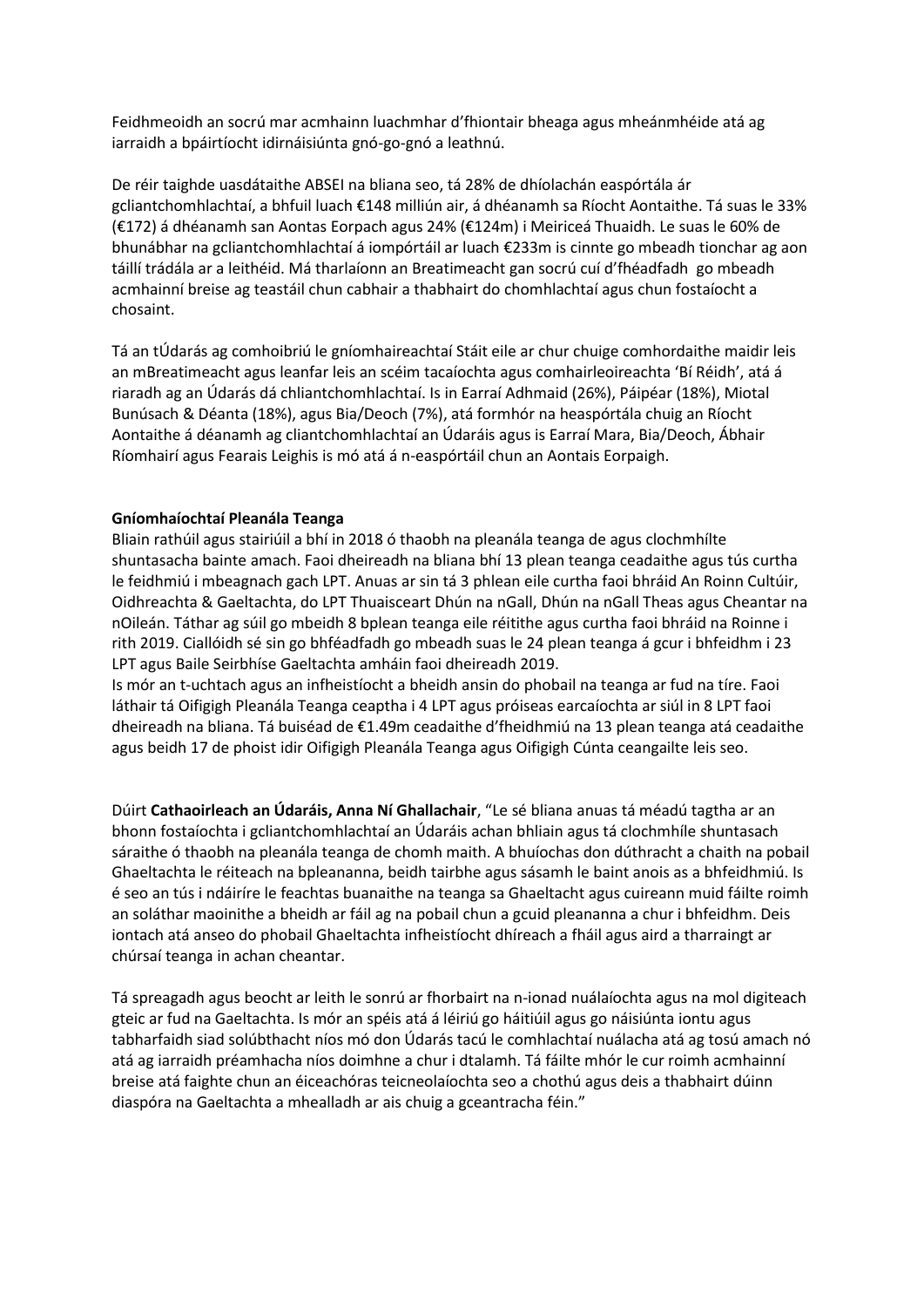Feidhmeoidh an socrú mar acmhainn luachmhar d'fhiontair bheaga agus mheánmhéide atá ag iarraidh a bpáirtíocht idirnáisiúnta gnó-go-gnó a leathnú.

De réir taighde uasdátaithe ABSEI na bliana seo, tá 28% de dhíolachán easpórtála ár gcliantchomhlachtaí, a bhfuil luach €148 milliún air, á dhéanamh sa Ríocht Aontaithe. Tá suas le 33% (€172) á dhéanamh san Aontas Eorpach agus 24% (€124m) i Meiriceá Thuaidh. Le suas le 60% de bhunábhar na gcliantchomhlachtaí á iompórtáil ar luach €233m is cinnte go mbeadh tionchar ag aon táillí trádála ar a leithéid. Má tharlaíonn an Breatimeacht gan socrú cuí d'fhéadfadh go mbeadh acmhainní breise ag teastáil chun cabhair a thabhairt do chomhlachtaí agus chun fostaíocht a chosaint.

Tá an tÚdarás ag comhoibriú le gníomhaireachtaí Stáit eile ar chur chuige comhordaithe maidir leis an mBreatimeacht agus leanfar leis an scéim tacaíochta agus comhairleoireachta 'Bí Réidh', atá á riaradh ag an Údarás dá chliantchomhlachtaí. Is in Earraí Adhmaid (26%), Páipéar (18%), Miotal Bunúsach & Déanta (18%), agus Bia/Deoch (7%), atá formhór na heaspórtála chuig an Ríocht Aontaithe á déanamh ag cliantchomhlachtaí an Údaráis agus is Earraí Mara, Bia/Deoch, Ábhair Ríomhairí agus Fearais Leighis is mó atá á n-easpórtáil chun an Aontais Eorpaigh.

### **Gníomhaíochtaí Pleanála Teanga**

Bliain rathúil agus stairiúil a bhí in 2018 ó thaobh na pleanála teanga de agus clochmhílte shuntasacha bainte amach. Faoi dheireadh na bliana bhí 13 plean teanga ceadaithe agus tús curtha le feidhmiú i mbeagnach gach LPT. Anuas ar sin tá 3 phlean eile curtha faoi bhráid An Roinn Cultúir, Oidhreachta & Gaeltachta, do LPT Thuaisceart Dhún na nGall, Dhún na nGall Theas agus Cheantar na nOileán. Táthar ag súil go mbeidh 8 bplean teanga eile réitithe agus curtha faoi bhráid na Roinne i rith 2019. Ciallóidh sé sin go bhféadfadh go mbeadh suas le 24 plean teanga á gcur i bhfeidhm i 23 LPT agus Baile Seirbhíse Gaeltachta amháin faoi dheireadh 2019.

Is mór an t-uchtach agus an infheistíocht a bheidh ansin do phobail na teanga ar fud na tíre. Faoi láthair tá Oifigigh Pleanála Teanga ceaptha i 4 LPT agus próiseas earcaíochta ar siúl in 8 LPT faoi dheireadh na bliana. Tá buiséad de €1.49m ceadaithe d'fheidhmiú na 13 plean teanga atá ceadaithe agus beidh 17 de phoist idir Oifigigh Pleanála Teanga agus Oifigigh Cúnta ceangailte leis seo.

Dúirt **Cathaoirleach an Údaráis, Anna Ní Ghallachair**, "Le sé bliana anuas tá méadú tagtha ar an bhonn fostaíochta i gcliantchomhlachtaí an Údaráis achan bhliain agus tá clochmhíle shuntasach sáraithe ó thaobh na pleanála teanga de chomh maith. A bhuíochas don dúthracht a chaith na pobail Ghaeltachta le réiteach na bpleananna, beidh tairbhe agus sásamh le baint anois as a bhfeidhmiú. Is é seo an tús i ndáiríre le feachtas buanaithe na teanga sa Ghaeltacht agus cuireann muid fáilte roimh an soláthar maoinithe a bheidh ar fáil ag na pobail chun a gcuid pleananna a chur i bhfeidhm. Deis iontach atá anseo do phobail Ghaeltachta infheistíocht dhíreach a fháil agus aird a tharraingt ar chúrsaí teanga in achan cheantar.

Tá spreagadh agus beocht ar leith le sonrú ar fhorbairt na n-ionad nuálaíochta agus na mol digiteach gteic ar fud na Gaeltachta. Is mór an spéis atá á léiriú go háitiúil agus go náisiúnta iontu agus tabharfaidh siad solúbthacht níos mó don Údarás tacú le comhlachtaí nuálacha atá ag tosú amach nó atá ag iarraidh préamhacha níos doimhne a chur i dtalamh. Tá fáilte mhór le cur roimh acmhainní breise atá faighte chun an éiceachóras teicneolaíochta seo a chothú agus deis a thabhairt dúinn diaspóra na Gaeltachta a mhealladh ar ais chuig a gceantracha féin."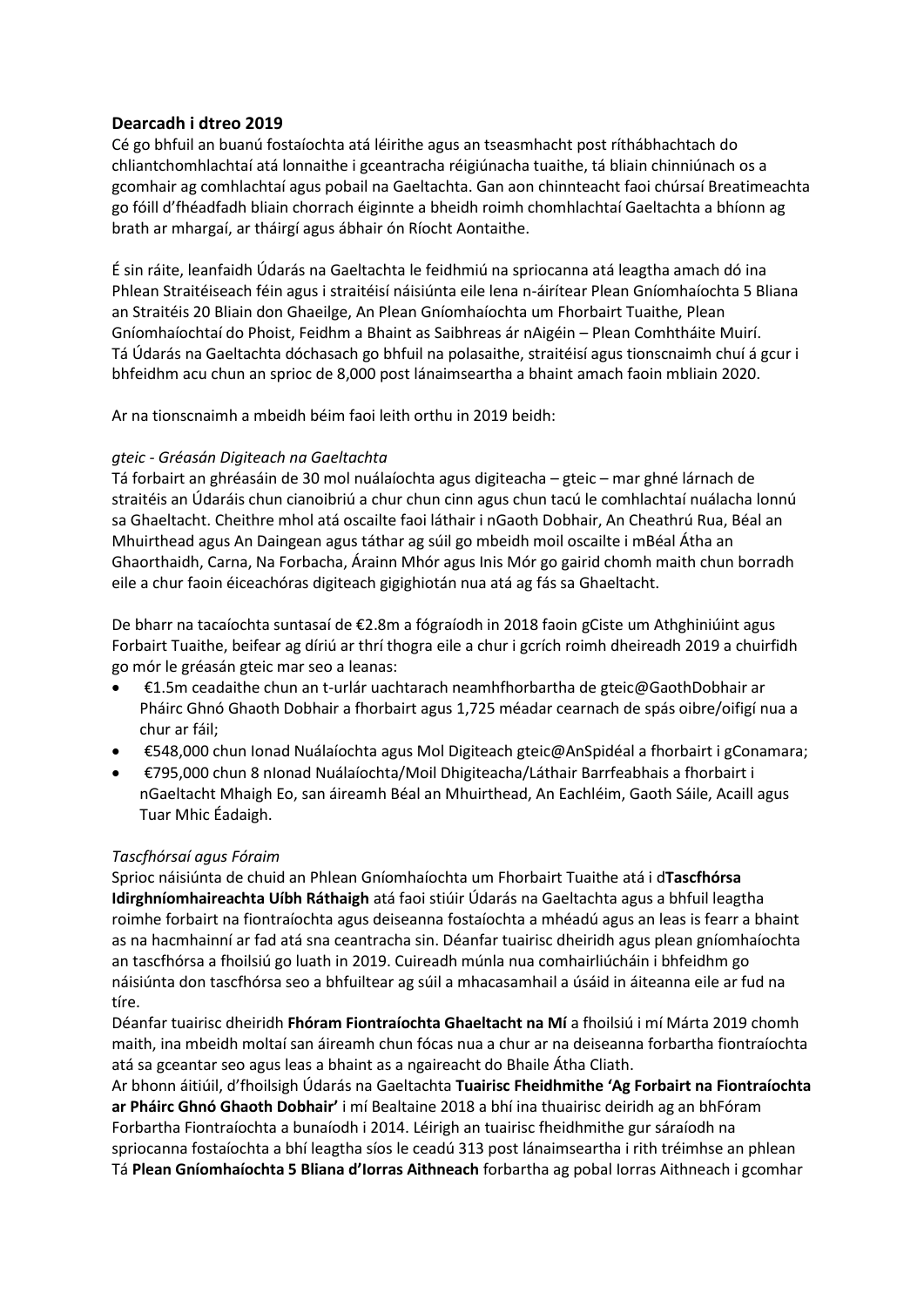# **Dearcadh i dtreo 2019**

Cé go bhfuil an buanú fostaíochta atá léirithe agus an tseasmhacht post ríthábhachtach do chliantchomhlachtaí atá lonnaithe i gceantracha réigiúnacha tuaithe, tá bliain chinniúnach os a gcomhair ag comhlachtaí agus pobail na Gaeltachta. Gan aon chinnteacht faoi chúrsaí Breatimeachta go fóill d'fhéadfadh bliain chorrach éiginnte a bheidh roimh chomhlachtaí Gaeltachta a bhíonn ag brath ar mhargaí, ar tháirgí agus ábhair ón Ríocht Aontaithe.

É sin ráite, leanfaidh Údarás na Gaeltachta le feidhmiú na spriocanna atá leagtha amach dó ina Phlean Straitéiseach féin agus i straitéisí náisiúnta eile lena n-áirítear Plean Gníomhaíochta 5 Bliana an Straitéis 20 Bliain don Ghaeilge, An Plean Gníomhaíochta um Fhorbairt Tuaithe, Plean Gníomhaíochtaí do Phoist, Feidhm a Bhaint as Saibhreas ár nAigéin – Plean Comhtháite Muirí. Tá Údarás na Gaeltachta dóchasach go bhfuil na polasaithe, straitéisí agus tionscnaimh chuí á gcur i bhfeidhm acu chun an sprioc de 8,000 post lánaimseartha a bhaint amach faoin mbliain 2020.

Ar na tionscnaimh a mbeidh béim faoi leith orthu in 2019 beidh:

# *gteic - Gréasán Digiteach na Gaeltachta*

Tá forbairt an ghréasáin de 30 mol nuálaíochta agus digiteacha – gteic – mar ghné lárnach de straitéis an Údaráis chun cianoibriú a chur chun cinn agus chun tacú le comhlachtaí nuálacha lonnú sa Ghaeltacht. Cheithre mhol atá oscailte faoi láthair i nGaoth Dobhair, An Cheathrú Rua, Béal an Mhuirthead agus An Daingean agus táthar ag súil go mbeidh moil oscailte i mBéal Átha an Ghaorthaidh, Carna, Na Forbacha, Árainn Mhór agus Inis Mór go gairid chomh maith chun borradh eile a chur faoin éiceachóras digiteach gigighiotán nua atá ag fás sa Ghaeltacht.

De bharr na tacaíochta suntasaí de €2.8m a fógraíodh in 2018 faoin gCiste um Athghiniúint agus Forbairt Tuaithe, beifear ag díriú ar thrí thogra eile a chur i gcrích roimh dheireadh 2019 a chuirfidh go mór le gréasán gteic mar seo a leanas:

- €1.5m ceadaithe chun an t-urlár uachtarach neamhfhorbartha de gteic@GaothDobhair ar Pháirc Ghnó Ghaoth Dobhair a fhorbairt agus 1,725 méadar cearnach de spás oibre/oifigí nua a chur ar fáil;
- €548,000 chun Ionad Nuálaíochta agus Mol Digiteach gteic@AnSpidéal a fhorbairt i gConamara;
- €795,000 chun 8 nIonad Nuálaíochta/Moil Dhigiteacha/Láthair Barrfeabhais a fhorbairt i nGaeltacht Mhaigh Eo, san áireamh Béal an Mhuirthead, An Eachléim, Gaoth Sáile, Acaill agus Tuar Mhic Éadaigh.

# *Tascfhórsaí agus Fóraim*

Sprioc náisiúnta de chuid an Phlean Gníomhaíochta um Fhorbairt Tuaithe atá i d**Tascfhórsa Idirghníomhaireachta Uíbh Ráthaigh** atá faoi stiúir Údarás na Gaeltachta agus a bhfuil leagtha roimhe forbairt na fiontraíochta agus deiseanna fostaíochta a mhéadú agus an leas is fearr a bhaint as na hacmhainní ar fad atá sna ceantracha sin. Déanfar tuairisc dheiridh agus plean gníomhaíochta an tascfhórsa a fhoilsiú go luath in 2019. Cuireadh múnla nua comhairliúcháin i bhfeidhm go náisiúnta don tascfhórsa seo a bhfuiltear ag súil a mhacasamhail a úsáid in áiteanna eile ar fud na tíre.

Déanfar tuairisc dheiridh **Fhóram Fiontraíochta Ghaeltacht na Mí** a fhoilsiú i mí Márta 2019 chomh maith, ina mbeidh moltaí san áireamh chun fócas nua a chur ar na deiseanna forbartha fiontraíochta atá sa gceantar seo agus leas a bhaint as a ngaireacht do Bhaile Átha Cliath.

Ar bhonn áitiúil, d'fhoilsigh Údarás na Gaeltachta **Tuairisc Fheidhmithe 'Ag Forbairt na Fiontraíochta ar Pháirc Ghnó Ghaoth Dobhair'** i mí Bealtaine 2018 a bhí ina thuairisc deiridh ag an bhFóram Forbartha Fiontraíochta a bunaíodh i 2014. Léirigh an tuairisc fheidhmithe gur sáraíodh na spriocanna fostaíochta a bhí leagtha síos le ceadú 313 post lánaimseartha i rith tréimhse an phlean Tá **Plean Gníomhaíochta 5 Bliana d'Iorras Aithneach** forbartha ag pobal Iorras Aithneach i gcomhar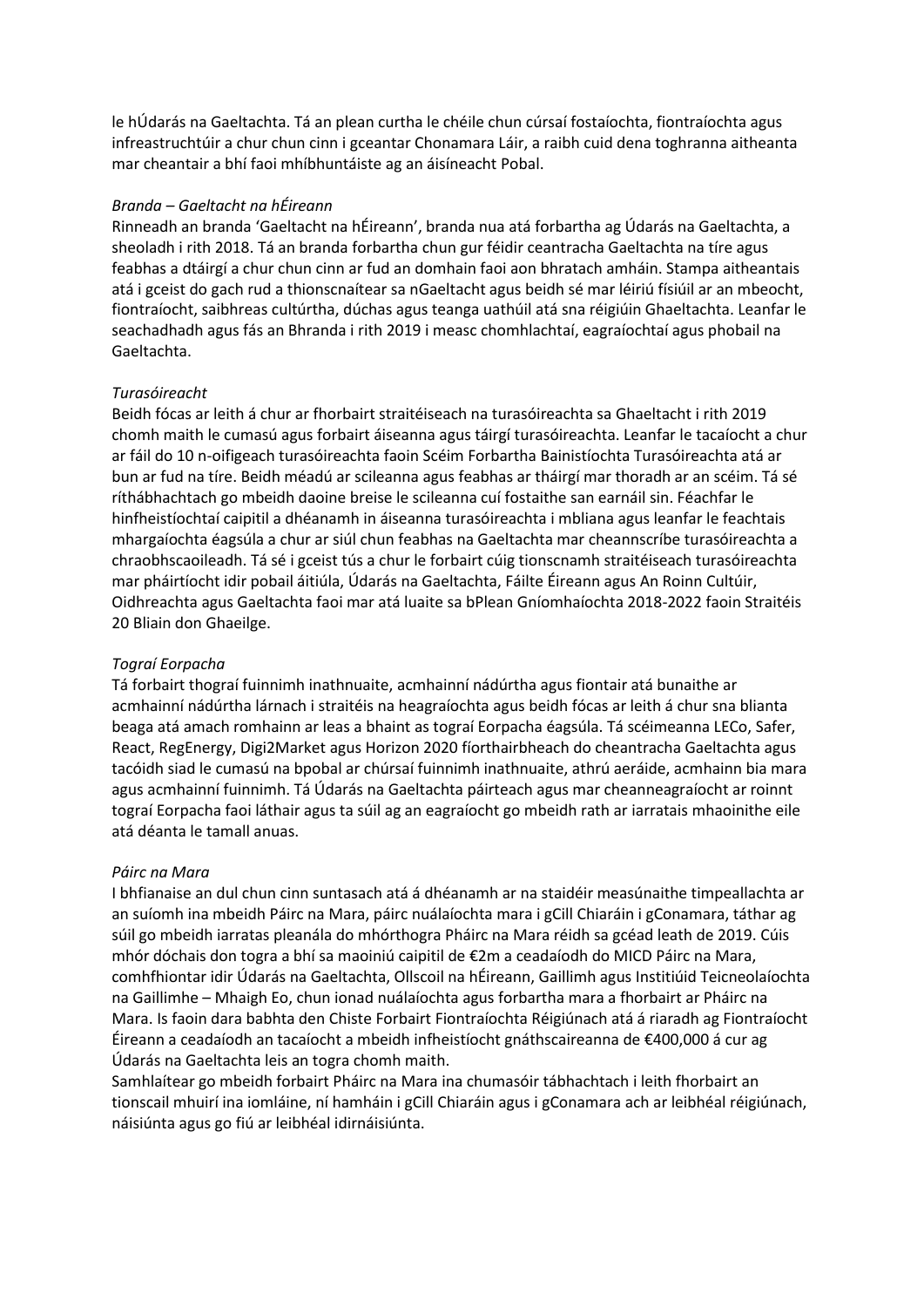le hÚdarás na Gaeltachta. Tá an plean curtha le chéile chun cúrsaí fostaíochta, fiontraíochta agus infreastruchtúir a chur chun cinn i gceantar Chonamara Láir, a raibh cuid dena toghranna aitheanta mar cheantair a bhí faoi mhíbhuntáiste ag an áisíneacht Pobal.

#### *Branda – Gaeltacht na hÉireann*

Rinneadh an branda 'Gaeltacht na hÉireann', branda nua atá forbartha ag Údarás na Gaeltachta, a sheoladh i rith 2018. Tá an branda forbartha chun gur féidir ceantracha Gaeltachta na tíre agus feabhas a dtáirgí a chur chun cinn ar fud an domhain faoi aon bhratach amháin. Stampa aitheantais atá i gceist do gach rud a thionscnaítear sa nGaeltacht agus beidh sé mar léiriú físiúil ar an mbeocht, fiontraíocht, saibhreas cultúrtha, dúchas agus teanga uathúil atá sna réigiúin Ghaeltachta. Leanfar le seachadhadh agus fás an Bhranda i rith 2019 i measc chomhlachtaí, eagraíochtaí agus phobail na Gaeltachta.

#### *Turasóireacht*

Beidh fócas ar leith á chur ar fhorbairt straitéiseach na turasóireachta sa Ghaeltacht i rith 2019 chomh maith le cumasú agus forbairt áiseanna agus táirgí turasóireachta. Leanfar le tacaíocht a chur ar fáil do 10 n-oifigeach turasóireachta faoin Scéim Forbartha Bainistíochta Turasóireachta atá ar bun ar fud na tíre. Beidh méadú ar scileanna agus feabhas ar tháirgí mar thoradh ar an scéim. Tá sé ríthábhachtach go mbeidh daoine breise le scileanna cuí fostaithe san earnáil sin. Féachfar le hinfheistíochtaí caipitil a dhéanamh in áiseanna turasóireachta i mbliana agus leanfar le feachtais mhargaíochta éagsúla a chur ar siúl chun feabhas na Gaeltachta mar cheannscríbe turasóireachta a chraobhscaoileadh. Tá sé i gceist tús a chur le forbairt cúig tionscnamh straitéiseach turasóireachta mar pháirtíocht idir pobail áitiúla, Údarás na Gaeltachta, Fáilte Éireann agus An Roinn Cultúir, Oidhreachta agus Gaeltachta faoi mar atá luaite sa bPlean Gníomhaíochta 2018-2022 faoin Straitéis 20 Bliain don Ghaeilge.

### *Tograí Eorpacha*

Tá forbairt thograí fuinnimh inathnuaite, acmhainní nádúrtha agus fiontair atá bunaithe ar acmhainní nádúrtha lárnach i straitéis na heagraíochta agus beidh fócas ar leith á chur sna blianta beaga atá amach romhainn ar leas a bhaint as tograí Eorpacha éagsúla. Tá scéimeanna LECo, Safer, React, RegEnergy, Digi2Market agus Horizon 2020 fíorthairbheach do cheantracha Gaeltachta agus tacóidh siad le cumasú na bpobal ar chúrsaí fuinnimh inathnuaite, athrú aeráide, acmhainn bia mara agus acmhainní fuinnimh. Tá Údarás na Gaeltachta páirteach agus mar cheanneagraíocht ar roinnt tograí Eorpacha faoi láthair agus ta súil ag an eagraíocht go mbeidh rath ar iarratais mhaoinithe eile atá déanta le tamall anuas.

#### *Páirc na Mara*

I bhfianaise an dul chun cinn suntasach atá á dhéanamh ar na staidéir measúnaithe timpeallachta ar an suíomh ina mbeidh Páirc na Mara, páirc nuálaíochta mara i gCill Chiaráin i gConamara, táthar ag súil go mbeidh iarratas pleanála do mhórthogra Pháirc na Mara réidh sa gcéad leath de 2019. Cúis mhór dóchais don togra a bhí sa maoiniú caipitil de €2m a ceadaíodh do MICD Páirc na Mara, comhfhiontar idir Údarás na Gaeltachta, Ollscoil na hÉireann, Gaillimh agus Institiúid Teicneolaíochta na Gaillimhe – Mhaigh Eo, chun ionad nuálaíochta agus forbartha mara a fhorbairt ar Pháirc na Mara. Is faoin dara babhta den Chiste Forbairt Fiontraíochta Réigiúnach atá á riaradh ag Fiontraíocht Éireann a ceadaíodh an tacaíocht a mbeidh infheistíocht gnáthscaireanna de €400,000 á cur ag Údarás na Gaeltachta leis an togra chomh maith.

Samhlaítear go mbeidh forbairt Pháirc na Mara ina chumasóir tábhachtach i leith fhorbairt an tionscail mhuirí ina iomláine, ní hamháin i gCill Chiaráin agus i gConamara ach ar leibhéal réigiúnach, náisiúnta agus go fiú ar leibhéal idirnáisiúnta.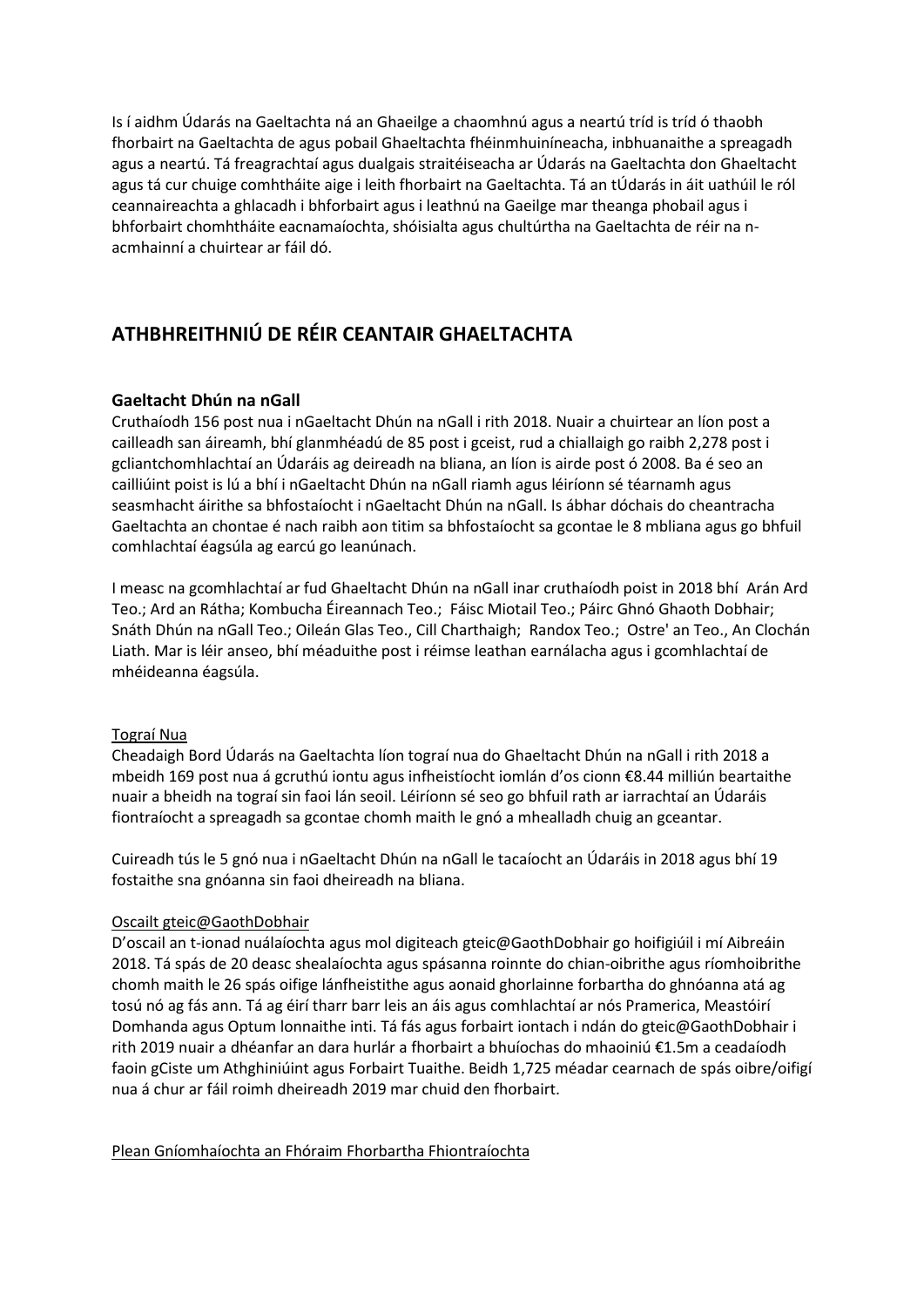Is í aidhm Údarás na Gaeltachta ná an Ghaeilge a chaomhnú agus a neartú tríd is tríd ó thaobh fhorbairt na Gaeltachta de agus pobail Ghaeltachta fhéinmhuiníneacha, inbhuanaithe a spreagadh agus a neartú. Tá freagrachtaí agus dualgais straitéiseacha ar Údarás na Gaeltachta don Ghaeltacht agus tá cur chuige comhtháite aige i leith fhorbairt na Gaeltachta. Tá an tÚdarás in áit uathúil le ról ceannaireachta a ghlacadh i bhforbairt agus i leathnú na Gaeilge mar theanga phobail agus i bhforbairt chomhtháite eacnamaíochta, shóisialta agus chultúrtha na Gaeltachta de réir na nacmhainní a chuirtear ar fáil dó.

# **ATHBHREITHNIÚ DE RÉIR CEANTAIR GHAELTACHTA**

# **Gaeltacht Dhún na nGall**

Cruthaíodh 156 post nua i nGaeltacht Dhún na nGall i rith 2018. Nuair a chuirtear an líon post a cailleadh san áireamh, bhí glanmhéadú de 85 post i gceist, rud a chiallaigh go raibh 2,278 post i gcliantchomhlachtaí an Údaráis ag deireadh na bliana, an líon is airde post ó 2008. Ba é seo an cailliúint poist is lú a bhí i nGaeltacht Dhún na nGall riamh agus léiríonn sé téarnamh agus seasmhacht áirithe sa bhfostaíocht i nGaeltacht Dhún na nGall. Is ábhar dóchais do cheantracha Gaeltachta an chontae é nach raibh aon titim sa bhfostaíocht sa gcontae le 8 mbliana agus go bhfuil comhlachtaí éagsúla ag earcú go leanúnach.

I measc na gcomhlachtaí ar fud Ghaeltacht Dhún na nGall inar cruthaíodh poist in 2018 bhí Arán Ard Teo.; Ard an Rátha; Kombucha Éireannach Teo.; Fáisc Miotail Teo.; Páirc Ghnó Ghaoth Dobhair; Snáth Dhún na nGall Teo.; Oileán Glas Teo., Cill Charthaigh; Randox Teo.; Ostre' an Teo., An Clochán Liath. Mar is léir anseo, bhí méaduithe post i réimse leathan earnálacha agus i gcomhlachtaí de mhéideanna éagsúla.

### Tograí Nua

Cheadaigh Bord Údarás na Gaeltachta líon tograí nua do Ghaeltacht Dhún na nGall i rith 2018 a mbeidh 169 post nua á gcruthú iontu agus infheistíocht iomlán d'os cionn €8.44 milliún beartaithe nuair a bheidh na tograí sin faoi lán seoil. Léiríonn sé seo go bhfuil rath ar iarrachtaí an Údaráis fiontraíocht a spreagadh sa gcontae chomh maith le gnó a mhealladh chuig an gceantar.

Cuireadh tús le 5 gnó nua i nGaeltacht Dhún na nGall le tacaíocht an Údaráis in 2018 agus bhí 19 fostaithe sna gnóanna sin faoi dheireadh na bliana.

### Oscailt gteic@GaothDobhair

D'oscail an t-ionad nuálaíochta agus mol digiteach gteic@GaothDobhair go hoifigiúil i mí Aibreáin 2018. Tá spás de 20 deasc shealaíochta agus spásanna roinnte do chian-oibrithe agus ríomhoibrithe chomh maith le 26 spás oifige lánfheistithe agus aonaid ghorlainne forbartha do ghnóanna atá ag tosú nó ag fás ann. Tá ag éirí tharr barr leis an áis agus comhlachtaí ar nós Pramerica, Meastóirí Domhanda agus Optum lonnaithe inti. Tá fás agus forbairt iontach i ndán do gteic@GaothDobhair i rith 2019 nuair a dhéanfar an dara hurlár a fhorbairt a bhuíochas do mhaoiniú €1.5m a ceadaíodh faoin gCiste um Athghiniúint agus Forbairt Tuaithe. Beidh 1,725 méadar cearnach de spás oibre/oifigí nua á chur ar fáil roimh dheireadh 2019 mar chuid den fhorbairt.

### Plean Gníomhaíochta an Fhóraim Fhorbartha Fhiontraíochta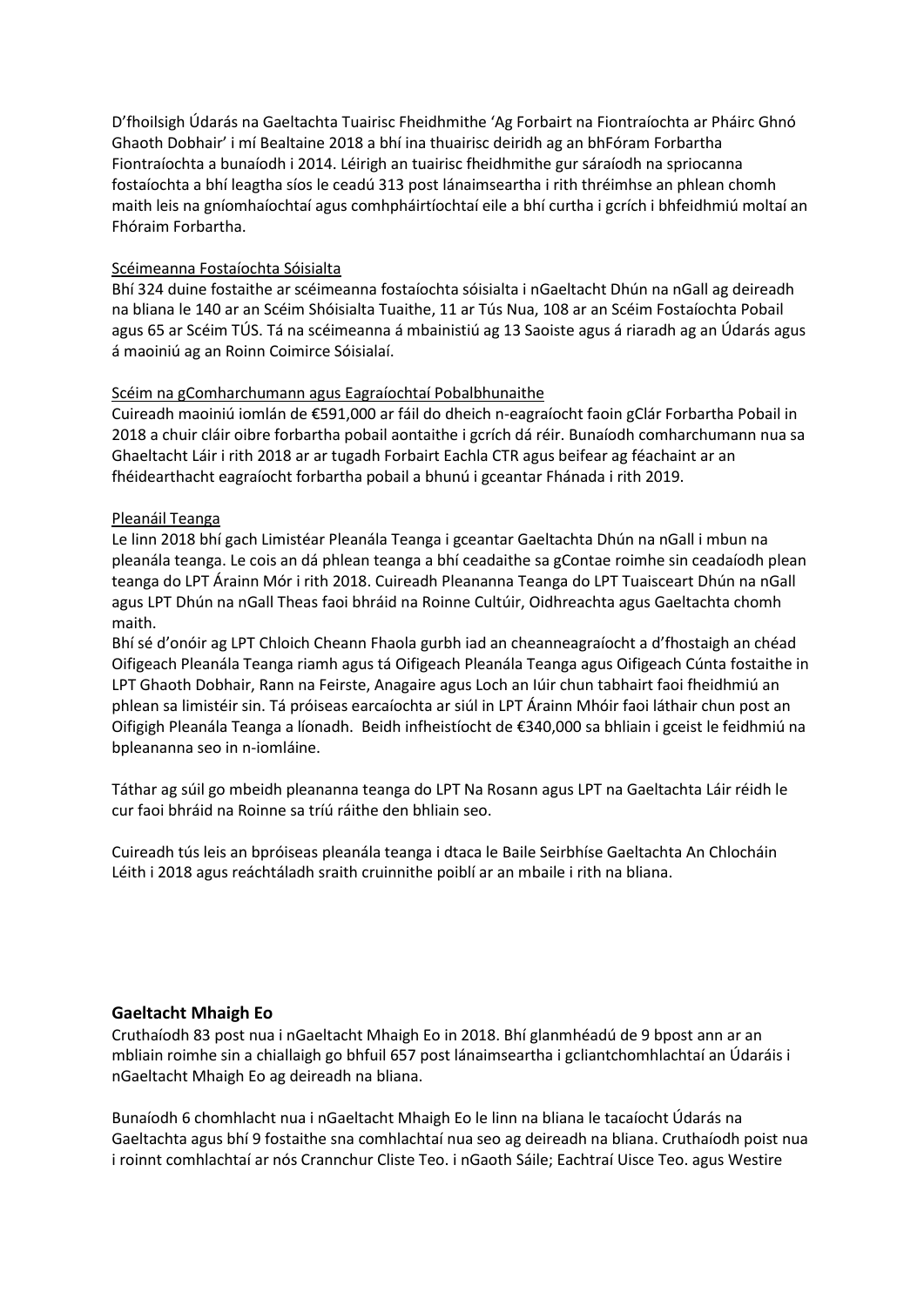D'fhoilsigh Údarás na Gaeltachta Tuairisc Fheidhmithe 'Ag Forbairt na Fiontraíochta ar Pháirc Ghnó Ghaoth Dobhair' i mí Bealtaine 2018 a bhí ina thuairisc deiridh ag an bhFóram Forbartha Fiontraíochta a bunaíodh i 2014. Léirigh an tuairisc fheidhmithe gur sáraíodh na spriocanna fostaíochta a bhí leagtha síos le ceadú 313 post lánaimseartha i rith thréimhse an phlean chomh maith leis na gníomhaíochtaí agus comhpháirtíochtaí eile a bhí curtha i gcrích i bhfeidhmiú moltaí an Fhóraim Forbartha.

### Scéimeanna Fostaíochta Sóisialta

Bhí 324 duine fostaithe ar scéimeanna fostaíochta sóisialta i nGaeltacht Dhún na nGall ag deireadh na bliana le 140 ar an Scéim Shóisialta Tuaithe, 11 ar Tús Nua, 108 ar an Scéim Fostaíochta Pobail agus 65 ar Scéim TÚS. Tá na scéimeanna á mbainistiú ag 13 Saoiste agus á riaradh ag an Údarás agus á maoiniú ag an Roinn Coimirce Sóisialaí.

# Scéim na gComharchumann agus Eagraíochtaí Pobalbhunaithe

Cuireadh maoiniú iomlán de €591,000 ar fáil do dheich n-eagraíocht faoin gClár Forbartha Pobail in 2018 a chuir cláir oibre forbartha pobail aontaithe i gcrích dá réir. Bunaíodh comharchumann nua sa Ghaeltacht Láir i rith 2018 ar ar tugadh Forbairt Eachla CTR agus beifear ag féachaint ar an fhéidearthacht eagraíocht forbartha pobail a bhunú i gceantar Fhánada i rith 2019.

# Pleanáil Teanga

Le linn 2018 bhí gach Limistéar Pleanála Teanga i gceantar Gaeltachta Dhún na nGall i mbun na pleanála teanga. Le cois an dá phlean teanga a bhí ceadaithe sa gContae roimhe sin ceadaíodh plean teanga do LPT Árainn Mór i rith 2018. Cuireadh Pleananna Teanga do LPT Tuaisceart Dhún na nGall agus LPT Dhún na nGall Theas faoi bhráid na Roinne Cultúir, Oidhreachta agus Gaeltachta chomh maith.

Bhí sé d'onóir ag LPT Chloich Cheann Fhaola gurbh iad an cheanneagraíocht a d'fhostaigh an chéad Oifigeach Pleanála Teanga riamh agus tá Oifigeach Pleanála Teanga agus Oifigeach Cúnta fostaithe in LPT Ghaoth Dobhair, Rann na Feirste, Anagaire agus Loch an Iúir chun tabhairt faoi fheidhmiú an phlean sa limistéir sin. Tá próiseas earcaíochta ar siúl in LPT Árainn Mhóir faoi láthair chun post an Oifigigh Pleanála Teanga a líonadh. Beidh infheistíocht de €340,000 sa bhliain i gceist le feidhmiú na bpleananna seo in n-iomláine.

Táthar ag súil go mbeidh pleananna teanga do LPT Na Rosann agus LPT na Gaeltachta Láir réidh le cur faoi bhráid na Roinne sa tríú ráithe den bhliain seo.

Cuireadh tús leis an bpróiseas pleanála teanga i dtaca le Baile Seirbhíse Gaeltachta An Chlocháin Léith i 2018 agus reáchtáladh sraith cruinnithe poiblí ar an mbaile i rith na bliana.

# **Gaeltacht Mhaigh Eo**

Cruthaíodh 83 post nua i nGaeltacht Mhaigh Eo in 2018. Bhí glanmhéadú de 9 bpost ann ar an mbliain roimhe sin a chiallaigh go bhfuil 657 post lánaimseartha i gcliantchomhlachtaí an Údaráis i nGaeltacht Mhaigh Eo ag deireadh na bliana.

Bunaíodh 6 chomhlacht nua i nGaeltacht Mhaigh Eo le linn na bliana le tacaíocht Údarás na Gaeltachta agus bhí 9 fostaithe sna comhlachtaí nua seo ag deireadh na bliana. Cruthaíodh poist nua i roinnt comhlachtaí ar nós Crannchur Cliste Teo. i nGaoth Sáile; Eachtraí Uisce Teo. agus Westire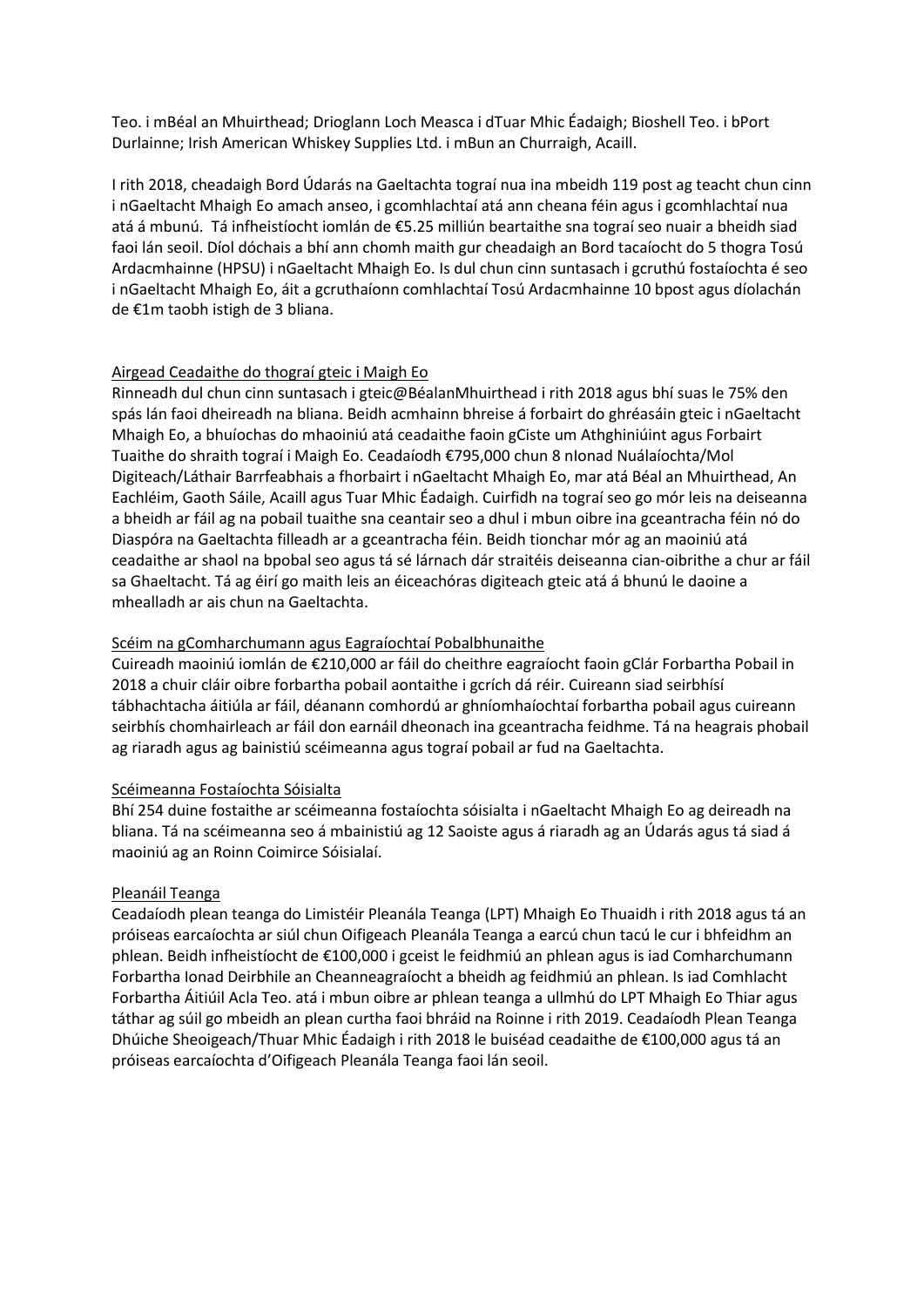Teo. i mBéal an Mhuirthead; Drioglann Loch Measca i dTuar Mhic Éadaigh; Bioshell Teo. i bPort Durlainne; Irish American Whiskey Supplies Ltd. i mBun an Churraigh, Acaill.

I rith 2018, cheadaigh Bord Údarás na Gaeltachta tograí nua ina mbeidh 119 post ag teacht chun cinn i nGaeltacht Mhaigh Eo amach anseo, i gcomhlachtaí atá ann cheana féin agus i gcomhlachtaí nua atá á mbunú. Tá infheistíocht iomlán de €5.25 milliún beartaithe sna tograí seo nuair a bheidh siad faoi lán seoil. Díol dóchais a bhí ann chomh maith gur cheadaigh an Bord tacaíocht do 5 thogra Tosú Ardacmhainne (HPSU) i nGaeltacht Mhaigh Eo. Is dul chun cinn suntasach i gcruthú fostaíochta é seo i nGaeltacht Mhaigh Eo, áit a gcruthaíonn comhlachtaí Tosú Ardacmhainne 10 bpost agus díolachán de €1m taobh istigh de 3 bliana.

# Airgead Ceadaithe do thograí gteic i Maigh Eo

Rinneadh dul chun cinn suntasach i gteic@BéalanMhuirthead i rith 2018 agus bhí suas le 75% den spás lán faoi dheireadh na bliana. Beidh acmhainn bhreise á forbairt do ghréasáin gteic i nGaeltacht Mhaigh Eo, a bhuíochas do mhaoiniú atá ceadaithe faoin gCiste um Athghiniúint agus Forbairt Tuaithe do shraith tograí i Maigh Eo. Ceadaíodh €795,000 chun 8 nIonad Nuálaíochta/Mol Digiteach/Láthair Barrfeabhais a fhorbairt i nGaeltacht Mhaigh Eo, mar atá Béal an Mhuirthead, An Eachléim, Gaoth Sáile, Acaill agus Tuar Mhic Éadaigh. Cuirfidh na tograí seo go mór leis na deiseanna a bheidh ar fáil ag na pobail tuaithe sna ceantair seo a dhul i mbun oibre ina gceantracha féin nó do Diaspóra na Gaeltachta filleadh ar a gceantracha féin. Beidh tionchar mór ag an maoiniú atá ceadaithe ar shaol na bpobal seo agus tá sé lárnach dár straitéis deiseanna cian-oibrithe a chur ar fáil sa Ghaeltacht. Tá ag éirí go maith leis an éiceachóras digiteach gteic atá á bhunú le daoine a mhealladh ar ais chun na Gaeltachta.

# Scéim na gComharchumann agus Eagraíochtaí Pobalbhunaithe

Cuireadh maoiniú iomlán de €210,000 ar fáil do cheithre eagraíocht faoin gClár Forbartha Pobail in 2018 a chuir cláir oibre forbartha pobail aontaithe i gcrích dá réir. Cuireann siad seirbhísí tábhachtacha áitiúla ar fáil, déanann comhordú ar ghníomhaíochtaí forbartha pobail agus cuireann seirbhís chomhairleach ar fáil don earnáil dheonach ina gceantracha feidhme. Tá na heagrais phobail ag riaradh agus ag bainistiú scéimeanna agus tograí pobail ar fud na Gaeltachta.

### Scéimeanna Fostaíochta Sóisialta

Bhí 254 duine fostaithe ar scéimeanna fostaíochta sóisialta i nGaeltacht Mhaigh Eo ag deireadh na bliana. Tá na scéimeanna seo á mbainistiú ag 12 Saoiste agus á riaradh ag an Údarás agus tá siad á maoiniú ag an Roinn Coimirce Sóisialaí.

# Pleanáil Teanga

Ceadaíodh plean teanga do Limistéir Pleanála Teanga (LPT) Mhaigh Eo Thuaidh i rith 2018 agus tá an próiseas earcaíochta ar siúl chun Oifigeach Pleanála Teanga a earcú chun tacú le cur i bhfeidhm an phlean. Beidh infheistíocht de €100,000 i gceist le feidhmiú an phlean agus is iad Comharchumann Forbartha Ionad Deirbhile an Cheanneagraíocht a bheidh ag feidhmiú an phlean. Is iad Comhlacht Forbartha Áitiúil Acla Teo. atá i mbun oibre ar phlean teanga a ullmhú do LPT Mhaigh Eo Thiar agus táthar ag súil go mbeidh an plean curtha faoi bhráid na Roinne i rith 2019. Ceadaíodh Plean Teanga Dhúiche Sheoigeach/Thuar Mhic Éadaigh i rith 2018 le buiséad ceadaithe de €100,000 agus tá an próiseas earcaíochta d'Oifigeach Pleanála Teanga faoi lán seoil.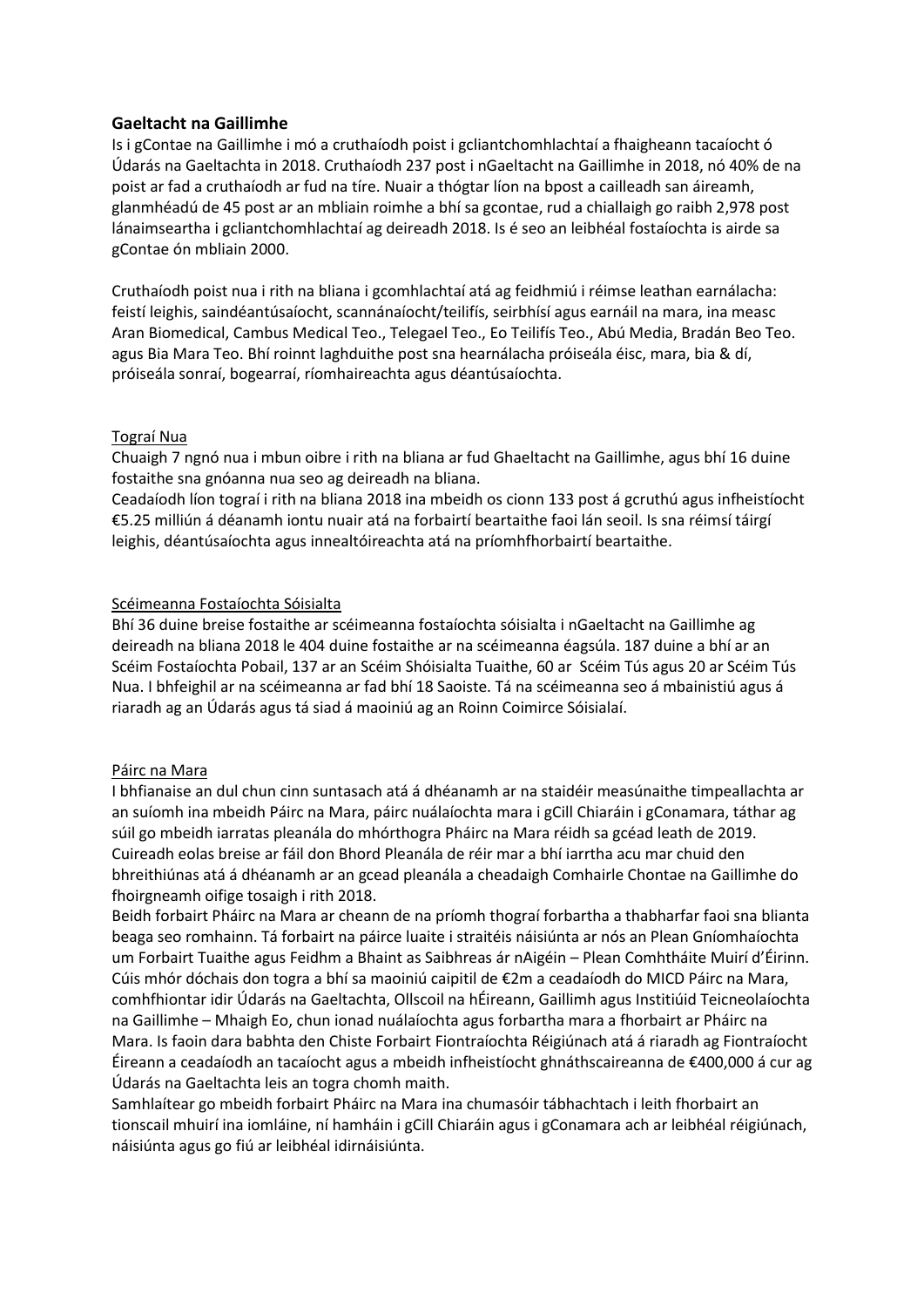# **Gaeltacht na Gaillimhe**

Is i gContae na Gaillimhe i mó a cruthaíodh poist i gcliantchomhlachtaí a fhaigheann tacaíocht ó Údarás na Gaeltachta in 2018. Cruthaíodh 237 post i nGaeltacht na Gaillimhe in 2018, nó 40% de na poist ar fad a cruthaíodh ar fud na tíre. Nuair a thógtar líon na bpost a cailleadh san áireamh, glanmhéadú de 45 post ar an mbliain roimhe a bhí sa gcontae, rud a chiallaigh go raibh 2,978 post lánaimseartha i gcliantchomhlachtaí ag deireadh 2018. Is é seo an leibhéal fostaíochta is airde sa gContae ón mbliain 2000.

Cruthaíodh poist nua i rith na bliana i gcomhlachtaí atá ag feidhmiú i réimse leathan earnálacha: feistí leighis, saindéantúsaíocht, scannánaíocht/teilifís, seirbhísí agus earnáil na mara, ina measc Aran Biomedical, Cambus Medical Teo., Telegael Teo., Eo Teilifís Teo., Abú Media, Bradán Beo Teo. agus Bia Mara Teo. Bhí roinnt laghduithe post sna hearnálacha próiseála éisc, mara, bia & dí, próiseála sonraí, bogearraí, ríomhaireachta agus déantúsaíochta.

# Tograí Nua

Chuaigh 7 ngnó nua i mbun oibre i rith na bliana ar fud Ghaeltacht na Gaillimhe, agus bhí 16 duine fostaithe sna gnóanna nua seo ag deireadh na bliana.

Ceadaíodh líon tograí i rith na bliana 2018 ina mbeidh os cionn 133 post á gcruthú agus infheistíocht €5.25 milliún á déanamh iontu nuair atá na forbairtí beartaithe faoi lán seoil. Is sna réimsí táirgí leighis, déantúsaíochta agus innealtóireachta atá na príomhfhorbairtí beartaithe.

### Scéimeanna Fostaíochta Sóisialta

Bhí 36 duine breise fostaithe ar scéimeanna fostaíochta sóisialta i nGaeltacht na Gaillimhe ag deireadh na bliana 2018 le 404 duine fostaithe ar na scéimeanna éagsúla. 187 duine a bhí ar an Scéim Fostaíochta Pobail, 137 ar an Scéim Shóisialta Tuaithe, 60 ar Scéim Tús agus 20 ar Scéim Tús Nua. I bhfeighil ar na scéimeanna ar fad bhí 18 Saoiste. Tá na scéimeanna seo á mbainistiú agus á riaradh ag an Údarás agus tá siad á maoiniú ag an Roinn Coimirce Sóisialaí.

### Páirc na Mara

I bhfianaise an dul chun cinn suntasach atá á dhéanamh ar na staidéir measúnaithe timpeallachta ar an suíomh ina mbeidh Páirc na Mara, páirc nuálaíochta mara i gCill Chiaráin i gConamara, táthar ag súil go mbeidh iarratas pleanála do mhórthogra Pháirc na Mara réidh sa gcéad leath de 2019. Cuireadh eolas breise ar fáil don Bhord Pleanála de réir mar a bhí iarrtha acu mar chuid den bhreithiúnas atá á dhéanamh ar an gcead pleanála a cheadaigh Comhairle Chontae na Gaillimhe do fhoirgneamh oifige tosaigh i rith 2018.

Beidh forbairt Pháirc na Mara ar cheann de na príomh thograí forbartha a thabharfar faoi sna blianta beaga seo romhainn. Tá forbairt na páirce luaite i straitéis náisiúnta ar nós an Plean Gníomhaíochta um Forbairt Tuaithe agus Feidhm a Bhaint as Saibhreas ár nAigéin – Plean Comhtháite Muirí d'Éirinn. Cúis mhór dóchais don togra a bhí sa maoiniú caipitil de €2m a ceadaíodh do MICD Páirc na Mara, comhfhiontar idir Údarás na Gaeltachta, Ollscoil na hÉireann, Gaillimh agus Institiúid Teicneolaíochta na Gaillimhe – Mhaigh Eo, chun ionad nuálaíochta agus forbartha mara a fhorbairt ar Pháirc na Mara. Is faoin dara babhta den Chiste Forbairt Fiontraíochta Réigiúnach atá á riaradh ag Fiontraíocht Éireann a ceadaíodh an tacaíocht agus a mbeidh infheistíocht ghnáthscaireanna de €400,000 á cur ag Údarás na Gaeltachta leis an togra chomh maith.

Samhlaítear go mbeidh forbairt Pháirc na Mara ina chumasóir tábhachtach i leith fhorbairt an tionscail mhuirí ina iomláine, ní hamháin i gCill Chiaráin agus i gConamara ach ar leibhéal réigiúnach, náisiúnta agus go fiú ar leibhéal idirnáisiúnta.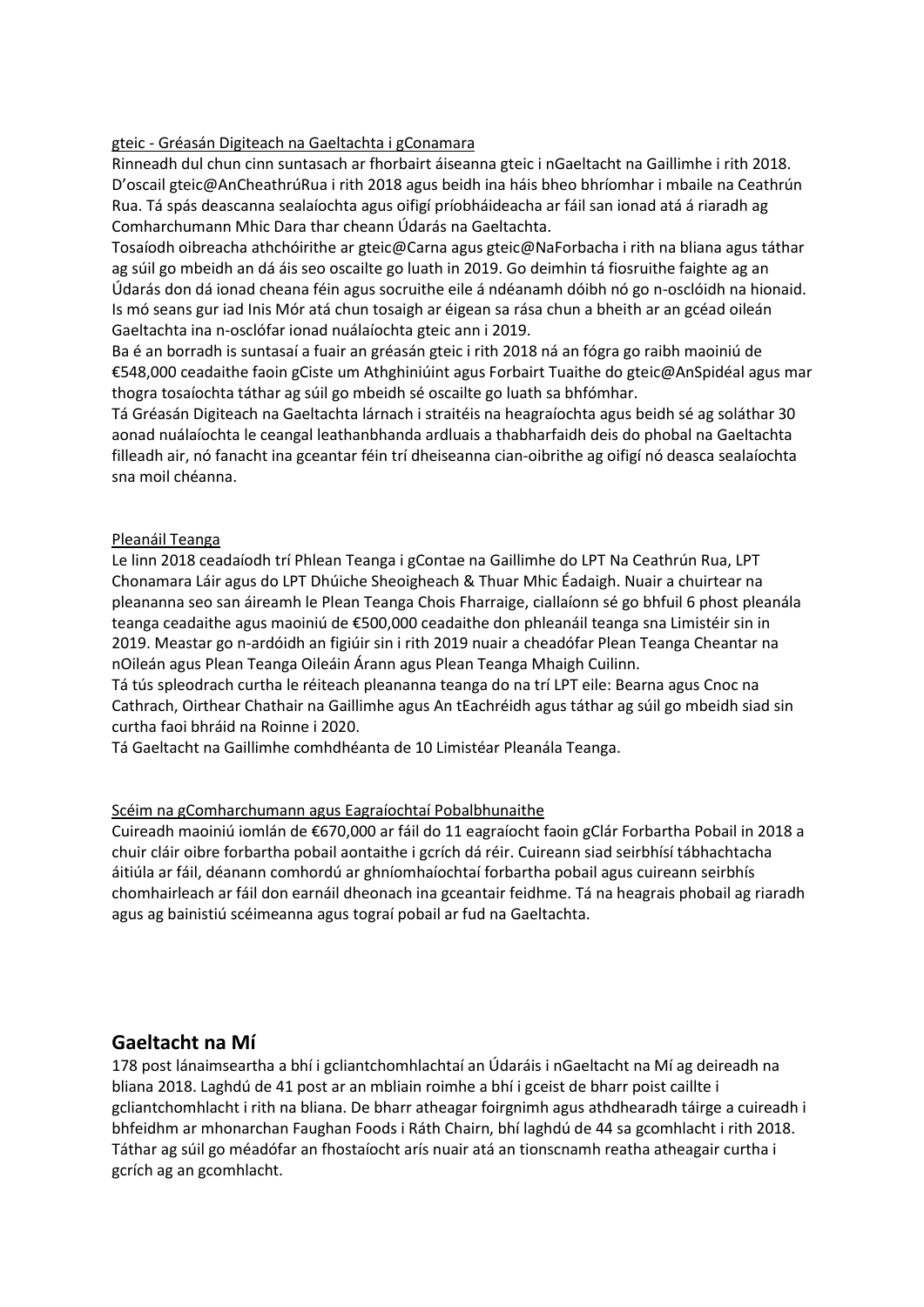### gteic - Gréasán Digiteach na Gaeltachta i gConamara

Rinneadh dul chun cinn suntasach ar fhorbairt áiseanna gteic i nGaeltacht na Gaillimhe i rith 2018. D'oscail gteic@AnCheathrúRua i rith 2018 agus beidh ina háis bheo bhríomhar i mbaile na Ceathrún Rua. Tá spás deascanna sealaíochta agus oifigí príobháideacha ar fáil san ionad atá á riaradh ag Comharchumann Mhic Dara thar cheann Údarás na Gaeltachta.

Tosaíodh oibreacha athchóirithe ar gteic@Carna agus gteic@NaForbacha i rith na bliana agus táthar ag súil go mbeidh an dá áis seo oscailte go luath in 2019. Go deimhin tá fiosruithe faighte ag an Údarás don dá ionad cheana féin agus socruithe eile á ndéanamh dóibh nó go n-osclóidh na hionaid. Is mó seans gur iad Inis Mór atá chun tosaigh ar éigean sa rása chun a bheith ar an gcéad oileán Gaeltachta ina n-osclófar ionad nuálaíochta gteic ann i 2019.

Ba é an borradh is suntasaí a fuair an gréasán gteic i rith 2018 ná an fógra go raibh maoiniú de €548,000 ceadaithe faoin gCiste um Athghiniúint agus Forbairt Tuaithe do gteic@AnSpidéal agus mar thogra tosaíochta táthar ag súil go mbeidh sé oscailte go luath sa bhfómhar.

Tá Gréasán Digiteach na Gaeltachta lárnach i straitéis na heagraíochta agus beidh sé ag soláthar 30 aonad nuálaíochta le ceangal leathanbhanda ardluais a thabharfaidh deis do phobal na Gaeltachta filleadh air, nó fanacht ina gceantar féin trí dheiseanna cian-oibrithe ag oifigí nó deasca sealaíochta sna moil chéanna.

# Pleanáil Teanga

Le linn 2018 ceadaíodh trí Phlean Teanga i gContae na Gaillimhe do LPT Na Ceathrún Rua, LPT Chonamara Láir agus do LPT Dhúiche Sheoigheach & Thuar Mhic Éadaigh. Nuair a chuirtear na pleananna seo san áireamh le Plean Teanga Chois Fharraige, ciallaíonn sé go bhfuil 6 phost pleanála teanga ceadaithe agus maoiniú de €500,000 ceadaithe don phleanáil teanga sna Limistéir sin in 2019. Meastar go n-ardóidh an figiúir sin i rith 2019 nuair a cheadófar Plean Teanga Cheantar na nOileán agus Plean Teanga Oileáin Árann agus Plean Teanga Mhaigh Cuilinn.

Tá tús spleodrach curtha le réiteach pleananna teanga do na trí LPT eile: Bearna agus Cnoc na Cathrach, Oirthear Chathair na Gaillimhe agus An tEachréidh agus táthar ag súil go mbeidh siad sin curtha faoi bhráid na Roinne i 2020.

Tá Gaeltacht na Gaillimhe comhdhéanta de 10 Limistéar Pleanála Teanga.

### Scéim na gComharchumann agus Eagraíochtaí Pobalbhunaithe

Cuireadh maoiniú iomlán de €670,000 ar fáil do 11 eagraíocht faoin gClár Forbartha Pobail in 2018 a chuir cláir oibre forbartha pobail aontaithe i gcrích dá réir. Cuireann siad seirbhísí tábhachtacha áitiúla ar fáil, déanann comhordú ar ghníomhaíochtaí forbartha pobail agus cuireann seirbhís chomhairleach ar fáil don earnáil dheonach ina gceantair feidhme. Tá na heagrais phobail ag riaradh agus ag bainistiú scéimeanna agus tograí pobail ar fud na Gaeltachta.

# **Gaeltacht na Mí**

178 post lánaimseartha a bhí i gcliantchomhlachtaí an Údaráis i nGaeltacht na Mí ag deireadh na bliana 2018. Laghdú de 41 post ar an mbliain roimhe a bhí i gceist de bharr poist caillte i gcliantchomhlacht i rith na bliana. De bharr atheagar foirgnimh agus athdhearadh táirge a cuireadh i bhfeidhm ar mhonarchan Faughan Foods i Ráth Chairn, bhí laghdú de 44 sa gcomhlacht i rith 2018. Táthar ag súil go méadófar an fhostaíocht arís nuair atá an tionscnamh reatha atheagair curtha i gcrích ag an gcomhlacht.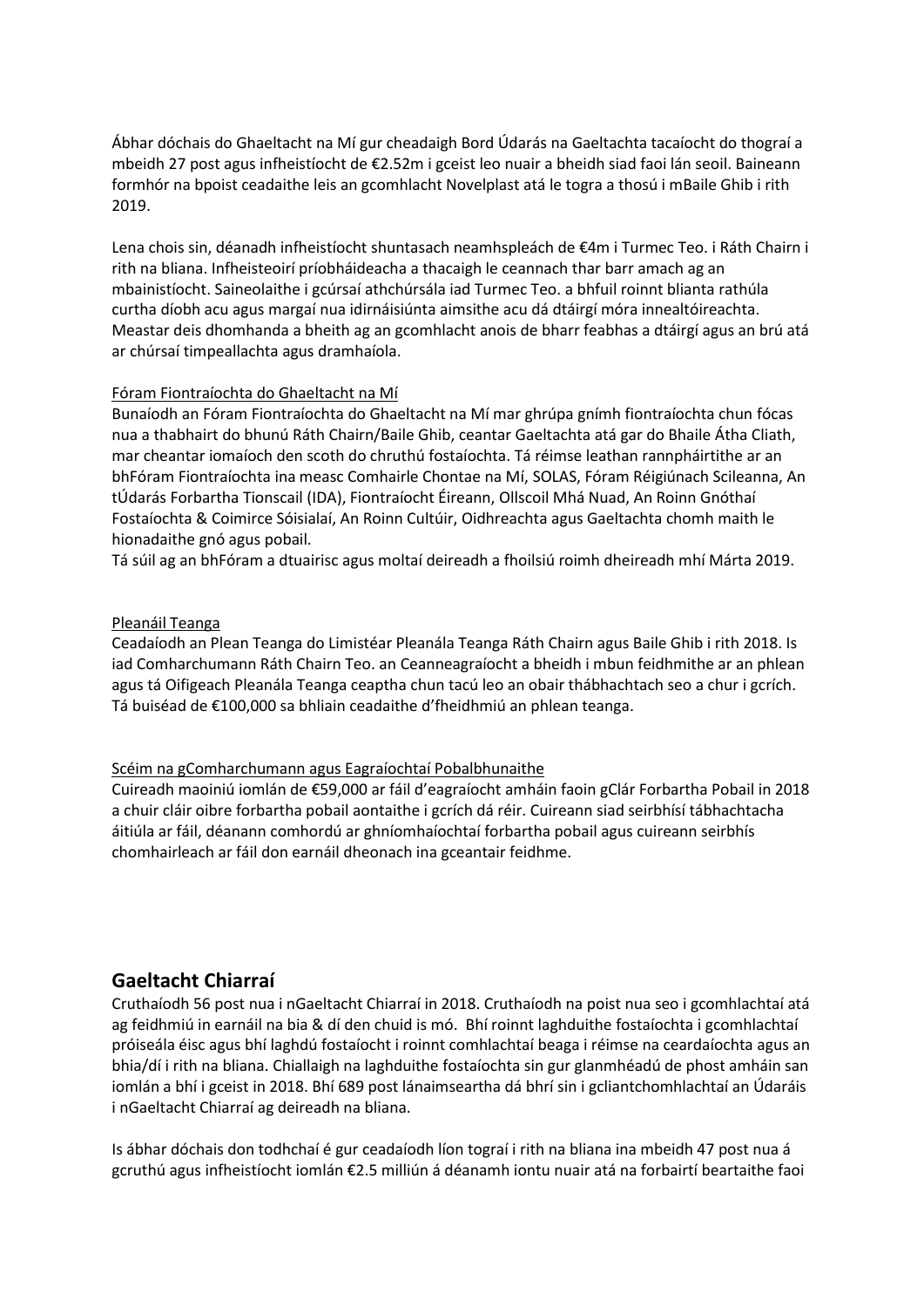Ábhar dóchais do Ghaeltacht na Mí gur cheadaigh Bord Údarás na Gaeltachta tacaíocht do thograí a mbeidh 27 post agus infheistíocht de €2.52m i gceist leo nuair a bheidh siad faoi lán seoil. Baineann formhór na bpoist ceadaithe leis an gcomhlacht Novelplast atá le togra a thosú i mBaile Ghib i rith 2019.

Lena chois sin, déanadh infheistíocht shuntasach neamhspleách de €4m i Turmec Teo. i Ráth Chairn i rith na bliana. Infheisteoirí príobháideacha a thacaigh le ceannach thar barr amach ag an mbainistíocht. Saineolaithe i gcúrsaí athchúrsála iad Turmec Teo. a bhfuil roinnt blianta rathúla curtha díobh acu agus margaí nua idirnáisiúnta aimsithe acu dá dtáirgí móra innealtóireachta. Meastar deis dhomhanda a bheith ag an gcomhlacht anois de bharr feabhas a dtáirgí agus an brú atá ar chúrsaí timpeallachta agus dramhaíola.

### Fóram Fiontraíochta do Ghaeltacht na Mí

Bunaíodh an Fóram Fiontraíochta do Ghaeltacht na Mí mar ghrúpa gnímh fiontraíochta chun fócas nua a thabhairt do bhunú Ráth Chairn/Baile Ghib, ceantar Gaeltachta atá gar do Bhaile Átha Cliath, mar cheantar iomaíoch den scoth do chruthú fostaíochta. Tá réimse leathan rannpháirtithe ar an bhFóram Fiontraíochta ina measc Comhairle Chontae na Mí, SOLAS, Fóram Réigiúnach Scileanna, An tÚdarás Forbartha Tionscail (IDA), Fiontraíocht Éireann, Ollscoil Mhá Nuad, An Roinn Gnóthaí Fostaíochta & Coimirce Sóisialaí, An Roinn Cultúir, Oidhreachta agus Gaeltachta chomh maith le hionadaithe gnó agus pobail.

Tá súil ag an bhFóram a dtuairisc agus moltaí deireadh a fhoilsiú roimh dheireadh mhí Márta 2019.

#### Pleanáil Teanga

Ceadaíodh an Plean Teanga do Limistéar Pleanála Teanga Ráth Chairn agus Baile Ghib i rith 2018. Is iad Comharchumann Ráth Chairn Teo. an Ceanneagraíocht a bheidh i mbun feidhmithe ar an phlean agus tá Oifigeach Pleanála Teanga ceaptha chun tacú leo an obair thábhachtach seo a chur i gcrích. Tá buiséad de €100,000 sa bhliain ceadaithe d'fheidhmiú an phlean teanga.

### Scéim na gComharchumann agus Eagraíochtaí Pobalbhunaithe

Cuireadh maoiniú iomlán de €59,000 ar fáil d'eagraíocht amháin faoin gClár Forbartha Pobail in 2018 a chuir cláir oibre forbartha pobail aontaithe i gcrích dá réir. Cuireann siad seirbhísí tábhachtacha áitiúla ar fáil, déanann comhordú ar ghníomhaíochtaí forbartha pobail agus cuireann seirbhís chomhairleach ar fáil don earnáil dheonach ina gceantair feidhme.

# **Gaeltacht Chiarraí**

Cruthaíodh 56 post nua i nGaeltacht Chiarraí in 2018. Cruthaíodh na poist nua seo i gcomhlachtaí atá ag feidhmiú in earnáil na bia & dí den chuid is mó. Bhí roinnt laghduithe fostaíochta i gcomhlachtaí próiseála éisc agus bhí laghdú fostaíocht i roinnt comhlachtaí beaga i réimse na ceardaíochta agus an bhia/dí i rith na bliana. Chiallaigh na laghduithe fostaíochta sin gur glanmhéadú de phost amháin san iomlán a bhí i gceist in 2018. Bhí 689 post lánaimseartha dá bhrí sin i gcliantchomhlachtaí an Údaráis i nGaeltacht Chiarraí ag deireadh na bliana.

Is ábhar dóchais don todhchaí é gur ceadaíodh líon tograí i rith na bliana ina mbeidh 47 post nua á gcruthú agus infheistíocht iomlán €2.5 milliún á déanamh iontu nuair atá na forbairtí beartaithe faoi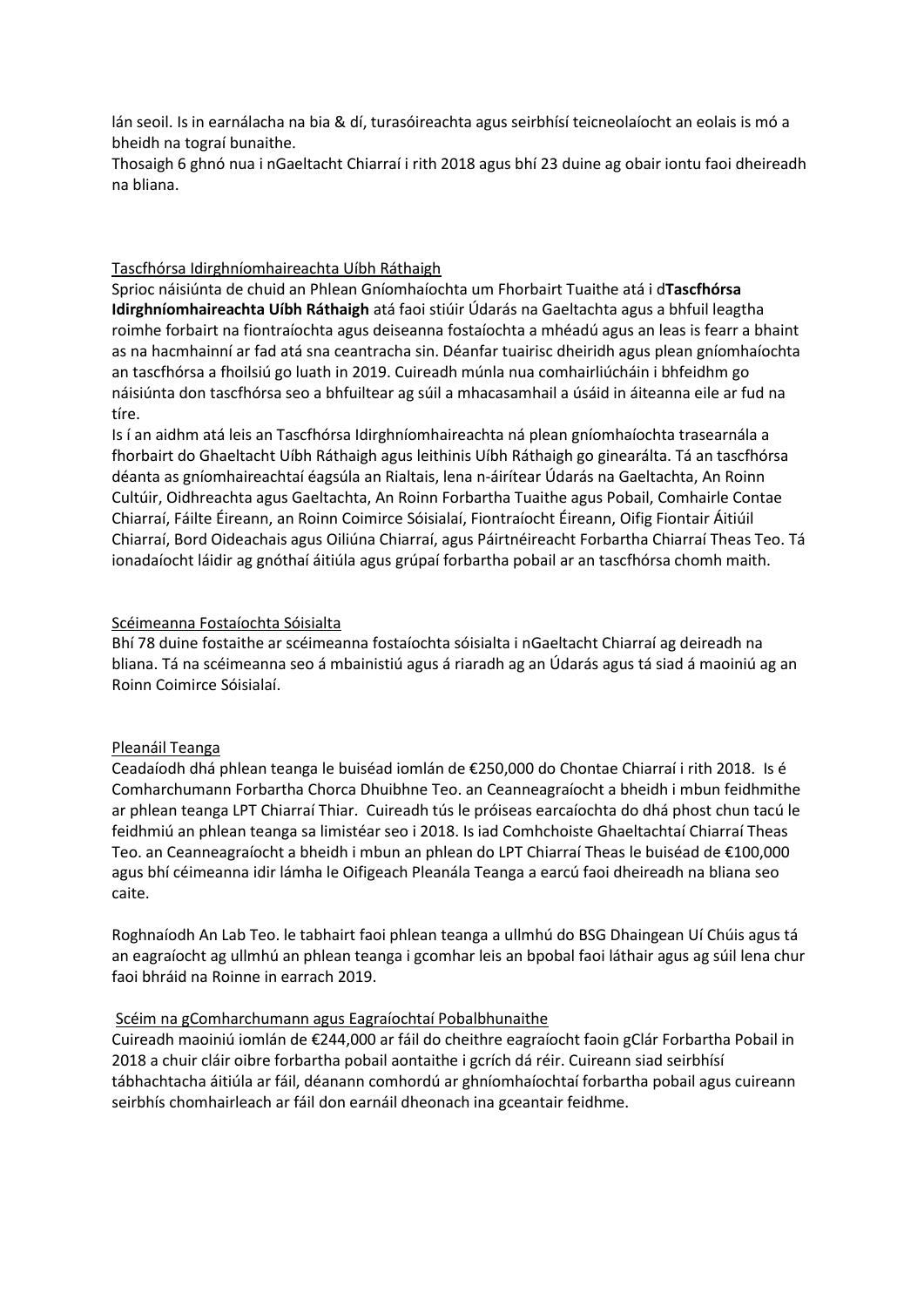lán seoil. Is in earnálacha na bia & dí, turasóireachta agus seirbhísí teicneolaíocht an eolais is mó a bheidh na tograí bunaithe.

Thosaigh 6 ghnó nua i nGaeltacht Chiarraí i rith 2018 agus bhí 23 duine ag obair iontu faoi dheireadh na bliana.

### Tascfhórsa Idirghníomhaireachta Uíbh Ráthaigh

Sprioc náisiúnta de chuid an Phlean Gníomhaíochta um Fhorbairt Tuaithe atá i d**Tascfhórsa Idirghníomhaireachta Uíbh Ráthaigh** atá faoi stiúir Údarás na Gaeltachta agus a bhfuil leagtha roimhe forbairt na fiontraíochta agus deiseanna fostaíochta a mhéadú agus an leas is fearr a bhaint as na hacmhainní ar fad atá sna ceantracha sin. Déanfar tuairisc dheiridh agus plean gníomhaíochta an tascfhórsa a fhoilsiú go luath in 2019. Cuireadh múnla nua comhairliúcháin i bhfeidhm go náisiúnta don tascfhórsa seo a bhfuiltear ag súil a mhacasamhail a úsáid in áiteanna eile ar fud na tíre.

Is í an aidhm atá leis an Tascfhórsa Idirghníomhaireachta ná plean gníomhaíochta trasearnála a fhorbairt do Ghaeltacht Uíbh Ráthaigh agus leithinis Uíbh Ráthaigh go ginearálta. Tá an tascfhórsa déanta as gníomhaireachtaí éagsúla an Rialtais, lena n-áirítear Údarás na Gaeltachta, An Roinn Cultúir, Oidhreachta agus Gaeltachta, An Roinn Forbartha Tuaithe agus Pobail, Comhairle Contae Chiarraí, Fáilte Éireann, an Roinn Coimirce Sóisialaí, Fiontraíocht Éireann, Oifig Fiontair Áitiúil Chiarraí, Bord Oideachais agus Oiliúna Chiarraí, agus Páirtnéireacht Forbartha Chiarraí Theas Teo. Tá ionadaíocht láidir ag gnóthaí áitiúla agus grúpaí forbartha pobail ar an tascfhórsa chomh maith.

# Scéimeanna Fostaíochta Sóisialta

Bhí 78 duine fostaithe ar scéimeanna fostaíochta sóisialta i nGaeltacht Chiarraí ag deireadh na bliana. Tá na scéimeanna seo á mbainistiú agus á riaradh ag an Údarás agus tá siad á maoiniú ag an Roinn Coimirce Sóisialaí.

### Pleanáil Teanga

Ceadaíodh dhá phlean teanga le buiséad iomlán de €250,000 do Chontae Chiarraí i rith 2018. Is é Comharchumann Forbartha Chorca Dhuibhne Teo. an Ceanneagraíocht a bheidh i mbun feidhmithe ar phlean teanga LPT Chiarraí Thiar. Cuireadh tús le próiseas earcaíochta do dhá phost chun tacú le feidhmiú an phlean teanga sa limistéar seo i 2018. Is iad Comhchoiste Ghaeltachtaí Chiarraí Theas Teo. an Ceanneagraíocht a bheidh i mbun an phlean do LPT Chiarraí Theas le buiséad de €100,000 agus bhí céimeanna idir lámha le Oifigeach Pleanála Teanga a earcú faoi dheireadh na bliana seo caite.

Roghnaíodh An Lab Teo. le tabhairt faoi phlean teanga a ullmhú do BSG Dhaingean Uí Chúis agus tá an eagraíocht ag ullmhú an phlean teanga i gcomhar leis an bpobal faoi láthair agus ag súil lena chur faoi bhráid na Roinne in earrach 2019.

### Scéim na gComharchumann agus Eagraíochtaí Pobalbhunaithe

Cuireadh maoiniú iomlán de €244,000 ar fáil do cheithre eagraíocht faoin gClár Forbartha Pobail in 2018 a chuir cláir oibre forbartha pobail aontaithe i gcrích dá réir. Cuireann siad seirbhísí tábhachtacha áitiúla ar fáil, déanann comhordú ar ghníomhaíochtaí forbartha pobail agus cuireann seirbhís chomhairleach ar fáil don earnáil dheonach ina gceantair feidhme.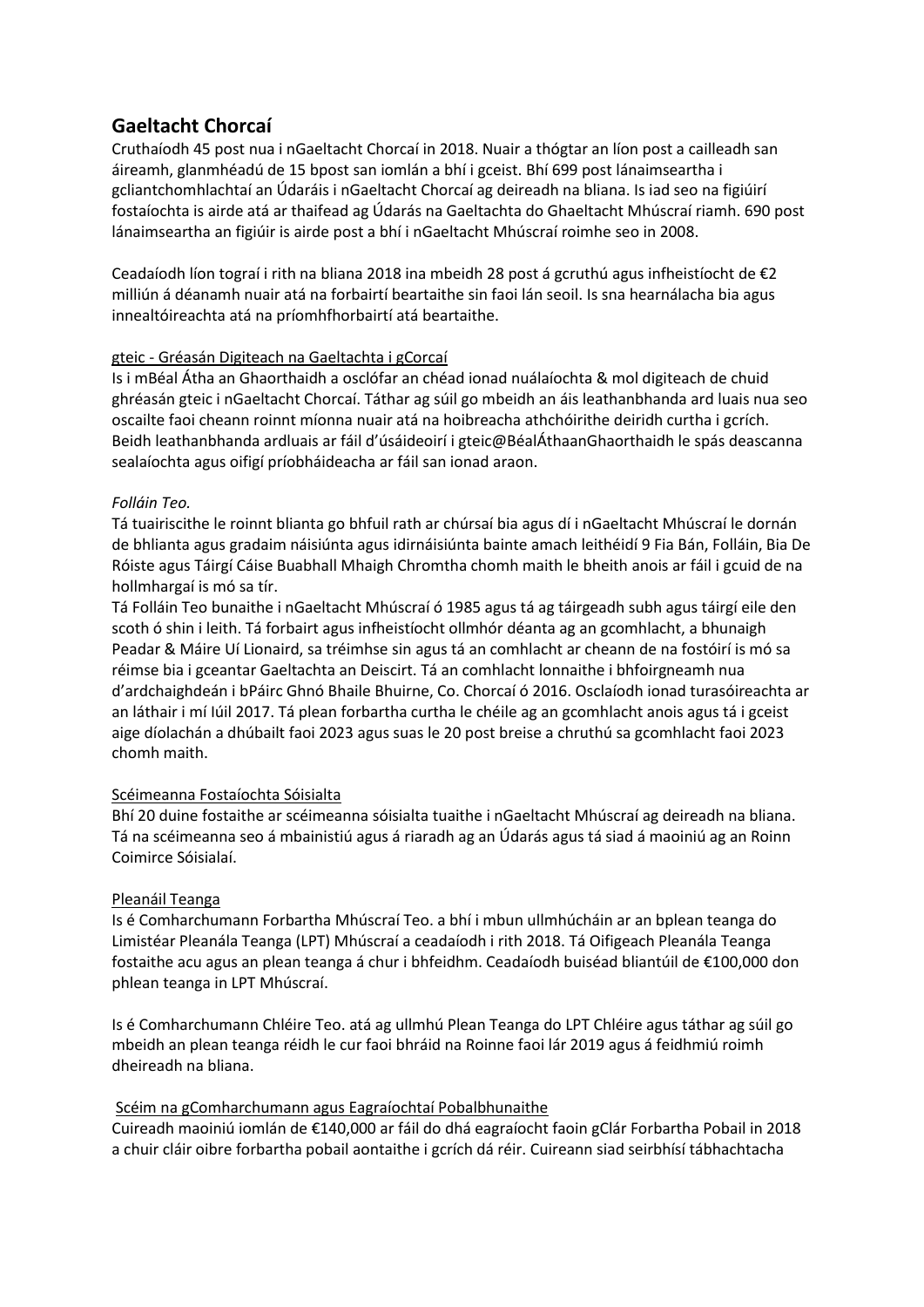# **Gaeltacht Chorcaí**

Cruthaíodh 45 post nua i nGaeltacht Chorcaí in 2018. Nuair a thógtar an líon post a cailleadh san áireamh, glanmhéadú de 15 bpost san iomlán a bhí i gceist. Bhí 699 post lánaimseartha i gcliantchomhlachtaí an Údaráis i nGaeltacht Chorcaí ag deireadh na bliana. Is iad seo na figiúirí fostaíochta is airde atá ar thaifead ag Údarás na Gaeltachta do Ghaeltacht Mhúscraí riamh. 690 post lánaimseartha an figiúir is airde post a bhí i nGaeltacht Mhúscraí roimhe seo in 2008.

Ceadaíodh líon tograí i rith na bliana 2018 ina mbeidh 28 post á gcruthú agus infheistíocht de €2 milliún á déanamh nuair atá na forbairtí beartaithe sin faoi lán seoil. Is sna hearnálacha bia agus innealtóireachta atá na príomhfhorbairtí atá beartaithe.

# gteic - Gréasán Digiteach na Gaeltachta i gCorcaí

Is i mBéal Átha an Ghaorthaidh a osclófar an chéad ionad nuálaíochta & mol digiteach de chuid ghréasán gteic i nGaeltacht Chorcaí. Táthar ag súil go mbeidh an áis leathanbhanda ard luais nua seo oscailte faoi cheann roinnt míonna nuair atá na hoibreacha athchóirithe deiridh curtha i gcrích. Beidh leathanbhanda ardluais ar fáil d'úsáideoirí i gteic@BéalÁthaanGhaorthaidh le spás deascanna sealaíochta agus oifigí príobháideacha ar fáil san ionad araon.

# *Folláin Teo.*

Tá tuairiscithe le roinnt blianta go bhfuil rath ar chúrsaí bia agus dí i nGaeltacht Mhúscraí le dornán de bhlianta agus gradaim náisiúnta agus idirnáisiúnta bainte amach leithéidí 9 Fia Bán, Folláin, Bia De Róiste agus Táirgí Cáise Buabhall Mhaigh Chromtha chomh maith le bheith anois ar fáil i gcuid de na hollmhargaí is mó sa tír.

Tá Folláin Teo bunaithe i nGaeltacht Mhúscraí ó 1985 agus tá ag táirgeadh subh agus táirgí eile den scoth ó shin i leith. Tá forbairt agus infheistíocht ollmhór déanta ag an gcomhlacht, a bhunaigh Peadar & Máire Uí Lionaird, sa tréimhse sin agus tá an comhlacht ar cheann de na fostóirí is mó sa réimse bia i gceantar Gaeltachta an Deiscirt. Tá an comhlacht lonnaithe i bhfoirgneamh nua d'ardchaighdeán i bPáirc Ghnó Bhaile Bhuirne, Co. Chorcaí ó 2016. Osclaíodh ionad turasóireachta ar an láthair i mí Iúil 2017. Tá plean forbartha curtha le chéile ag an gcomhlacht anois agus tá i gceist aige díolachán a dhúbailt faoi 2023 agus suas le 20 post breise a chruthú sa gcomhlacht faoi 2023 chomh maith.

# Scéimeanna Fostaíochta Sóisialta

Bhí 20 duine fostaithe ar scéimeanna sóisialta tuaithe i nGaeltacht Mhúscraí ag deireadh na bliana. Tá na scéimeanna seo á mbainistiú agus á riaradh ag an Údarás agus tá siad á maoiniú ag an Roinn Coimirce Sóisialaí.

# Pleanáil Teanga

Is é Comharchumann Forbartha Mhúscraí Teo. a bhí i mbun ullmhúcháin ar an bplean teanga do Limistéar Pleanála Teanga (LPT) Mhúscraí a ceadaíodh i rith 2018. Tá Oifigeach Pleanála Teanga fostaithe acu agus an plean teanga á chur i bhfeidhm. Ceadaíodh buiséad bliantúil de €100,000 don phlean teanga in LPT Mhúscraí.

Is é Comharchumann Chléire Teo. atá ag ullmhú Plean Teanga do LPT Chléire agus táthar ag súil go mbeidh an plean teanga réidh le cur faoi bhráid na Roinne faoi lár 2019 agus á feidhmiú roimh dheireadh na bliana.

# Scéim na gComharchumann agus Eagraíochtaí Pobalbhunaithe

Cuireadh maoiniú iomlán de €140,000 ar fáil do dhá eagraíocht faoin gClár Forbartha Pobail in 2018 a chuir cláir oibre forbartha pobail aontaithe i gcrích dá réir. Cuireann siad seirbhísí tábhachtacha